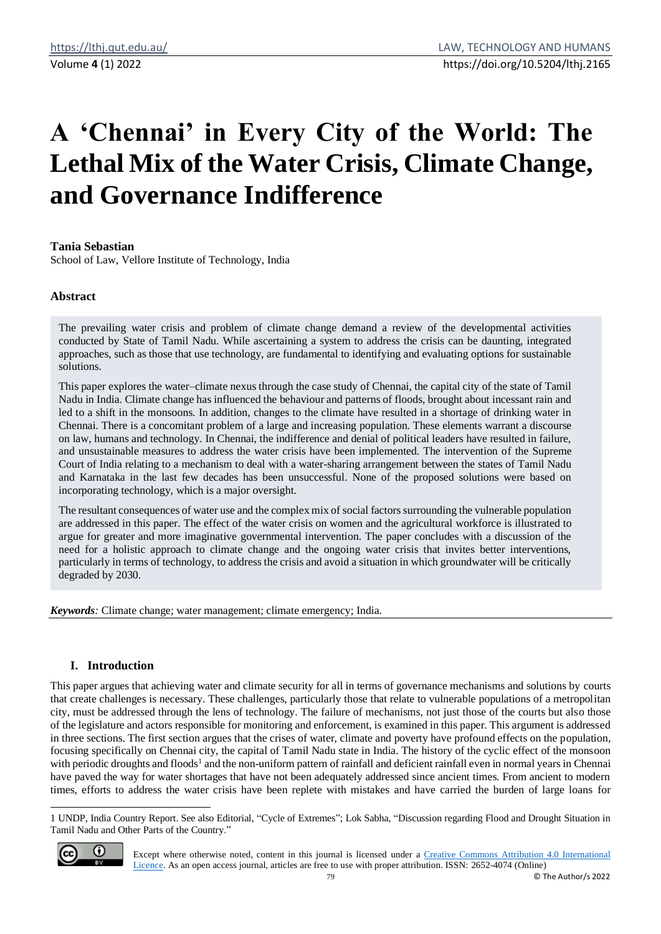# **A 'Chennai' in Every City of the World: The Lethal Mix of the Water Crisis, Climate Change, and Governance Indifference**

# **Tania Sebastian**

School of Law, Vellore Institute of Technology, India

## **Abstract**

The prevailing water crisis and problem of climate change demand a review of the developmental activities conducted by State of Tamil Nadu. While ascertaining a system to address the crisis can be daunting, integrated approaches, such as those that use technology, are fundamental to identifying and evaluating options for sustainable solutions.

This paper explores the water–climate nexus through the case study of Chennai, the capital city of the state of Tamil Nadu in India. Climate change has influenced the behaviour and patterns of floods, brought about incessant rain and led to a shift in the monsoons. In addition, changes to the climate have resulted in a shortage of drinking water in Chennai. There is a concomitant problem of a large and increasing population. These elements warrant a discourse on law, humans and technology. In Chennai, the indifference and denial of political leaders have resulted in failure, and unsustainable measures to address the water crisis have been implemented. The intervention of the Supreme Court of India relating to a mechanism to deal with a water-sharing arrangement between the states of Tamil Nadu and Karnataka in the last few decades has been unsuccessful. None of the proposed solutions were based on incorporating technology, which is a major oversight.

The resultant consequences of water use and the complex mix of social factors surrounding the vulnerable population are addressed in this paper. The effect of the water crisis on women and the agricultural workforce is illustrated to argue for greater and more imaginative governmental intervention. The paper concludes with a discussion of the need for a holistic approach to climate change and the ongoing water crisis that invites better interventions, particularly in terms of technology, to address the crisis and avoid a situation in which groundwater will be critically degraded by 2030.

*Keywords:* Climate change; water management; climate emergency; India.

# **I. Introduction**

This paper argues that achieving water and climate security for all in terms of governance mechanisms and solutions by courts that create challenges is necessary. These challenges, particularly those that relate to vulnerable populations of a metropolitan city, must be addressed through the lens of technology. The failure of mechanisms, not just those of the courts but also those of the legislature and actors responsible for monitoring and enforcement, is examined in this paper. This argument is addressed in three sections. The first section argues that the crises of water, climate and poverty have profound effects on the population, focusing specifically on Chennai city, the capital of Tamil Nadu state in India. The history of the cyclic effect of the monsoon with periodic droughts and floods<sup>1</sup> and the non-uniform pattern of rainfall and deficient rainfall even in normal years in Chennai have paved the way for water shortages that have not been adequately addressed since ancient times. From ancient to modern times, efforts to address the water crisis have been replete with mistakes and have carried the burden of large loans for

<sup>1</sup> UNDP, India Country Report. See also Editorial, "Cycle of Extremes"; Lok Sabha, "Discussion regarding Flood and Drought Situation in Tamil Nadu and Other Parts of the Country."



Except where otherwise noted, content in this journal is licensed under a [Creative Commons Attribution 4.0 International](https://creativecommons.org/licenses/by/4.0/)  [Licence.](https://creativecommons.org/licenses/by/4.0/) As an open access journal, articles are free to use with proper attribution. ISSN: 2652-4074 (Online)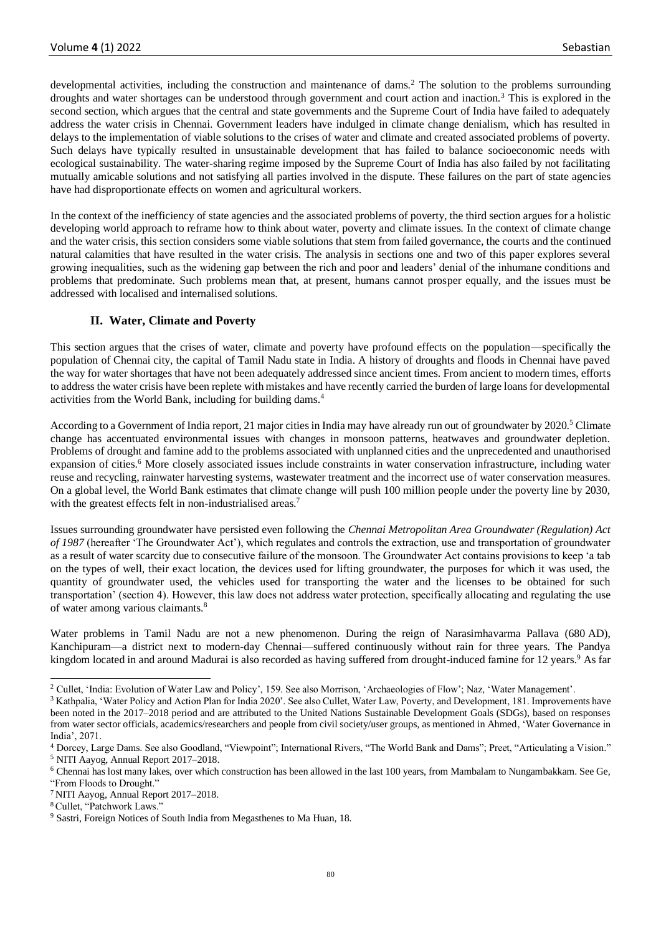developmental activities, including the construction and maintenance of dams.<sup>2</sup> The solution to the problems surrounding droughts and water shortages can be understood through government and court action and inaction.<sup>3</sup> This is explored in the second section, which argues that the central and state governments and the Supreme Court of India have failed to adequately address the water crisis in Chennai. Government leaders have indulged in climate change denialism, which has resulted in delays to the implementation of viable solutions to the crises of water and climate and created associated problems of poverty. Such delays have typically resulted in unsustainable development that has failed to balance socioeconomic needs with ecological sustainability. The water-sharing regime imposed by the Supreme Court of India has also failed by not facilitating mutually amicable solutions and not satisfying all parties involved in the dispute. These failures on the part of state agencies have had disproportionate effects on women and agricultural workers.

In the context of the inefficiency of state agencies and the associated problems of poverty, the third section argues for a holistic developing world approach to reframe how to think about water, poverty and climate issues. In the context of climate change and the water crisis, this section considers some viable solutions that stem from failed governance, the courts and the continued natural calamities that have resulted in the water crisis. The analysis in sections one and two of this paper explores several growing inequalities, such as the widening gap between the rich and poor and leaders' denial of the inhumane conditions and problems that predominate. Such problems mean that, at present, humans cannot prosper equally, and the issues must be addressed with localised and internalised solutions.

# **II. Water, Climate and Poverty**

This section argues that the crises of water, climate and poverty have profound effects on the population—specifically the population of Chennai city, the capital of Tamil Nadu state in India. A history of droughts and floods in Chennai have paved the way for water shortages that have not been adequately addressed since ancient times. From ancient to modern times, efforts to address the water crisis have been replete with mistakes and have recently carried the burden of large loans for developmental activities from the World Bank, including for building dams.<sup>4</sup>

According to a Government of India report, 21 major cities in India may have already run out of groundwater by 2020.<sup>5</sup> Climate change has accentuated environmental issues with changes in monsoon patterns, heatwaves and groundwater depletion. Problems of drought and famine add to the problems associated with unplanned cities and the unprecedented and unauthorised expansion of cities.<sup>6</sup> More closely associated issues include constraints in water conservation infrastructure, including water reuse and recycling, rainwater harvesting systems, wastewater treatment and the incorrect use of water conservation measures. On a global level, the World Bank estimates that climate change will push 100 million people under the poverty line by 2030, with the greatest effects felt in non-industrialised areas.<sup>7</sup>

Issues surrounding groundwater have persisted even following the *Chennai Metropolitan Area Groundwater (Regulation) Act of 1987* (hereafter 'The Groundwater Act'), which regulates and controls the extraction, use and transportation of groundwater as a result of water scarcity due to consecutive failure of the monsoon. The Groundwater Act contains provisions to keep 'a tab on the types of well, their exact location, the devices used for lifting groundwater, the purposes for which it was used, the quantity of groundwater used, the vehicles used for transporting the water and the licenses to be obtained for such transportation' (section 4). However, this law does not address water protection, specifically allocating and regulating the use of water among various claimants.<sup>8</sup>

Water problems in Tamil Nadu are not a new phenomenon. During the reign of Narasimhavarma Pallava (680 AD), Kanchipuram—a district next to modern-day Chennai—suffered continuously without rain for three years. The Pandya kingdom located in and around Madurai is also recorded as having suffered from drought-induced famine for 12 years.<sup>9</sup> As far

<sup>&</sup>lt;sup>2</sup> Cullet, 'India: Evolution of Water Law and Policy', 159. See also Morrison, 'Archaeologies of Flow'; Naz, 'Water Management'.

<sup>&</sup>lt;sup>3</sup> Kathpalia, 'Water Policy and Action Plan for India 2020'. See also Cullet, Water Law, Poverty, and Development, 181. Improvements have been noted in the 2017–2018 period and are attributed to the United Nations Sustainable Development Goals (SDGs), based on responses from water sector officials, academics/researchers and people from civil society/user groups, as mentioned in Ahmed, 'Water Governance in India', 2071.

<sup>4</sup> Dorcey, Large Dams. See also Goodland, "Viewpoint"; International Rivers, "The World Bank and Dams"; Preet, "Articulating a Vision." <sup>5</sup> NITI Aayog, Annual Report 2017–2018.

<sup>6</sup> Chennai has lost many lakes, over which construction has been allowed in the last 100 years, from Mambalam to Nungambakkam. See Ge, "From Floods to Drought."

<sup>7</sup> NITI Aayog, Annual Report 2017–2018.

<sup>8</sup> Cullet, "Patchwork Laws."

<sup>9</sup> Sastri, Foreign Notices of South India from Megasthenes to Ma Huan, 18.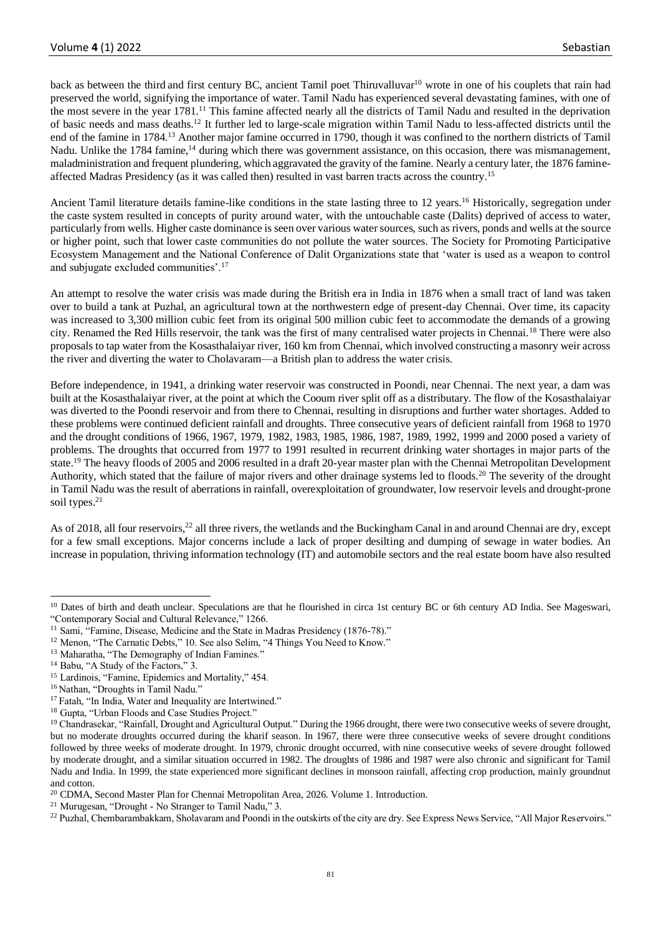back as between the third and first century BC, ancient Tamil poet Thiruvalluvar<sup>10</sup> wrote in one of his couplets that rain had preserved the world, signifying the importance of water. Tamil Nadu has experienced several devastating famines, with one of the most severe in the year 1781.<sup>11</sup> This famine affected nearly all the districts of Tamil Nadu and resulted in the deprivation of basic needs and mass deaths.<sup>12</sup> It further led to large-scale migration within Tamil Nadu to less-affected districts until the end of the famine in 1784.<sup>13</sup> Another major famine occurred in 1790, though it was confined to the northern districts of Tamil Nadu. Unlike the 1784 famine,<sup>14</sup> during which there was government assistance, on this occasion, there was mismanagement, maladministration and frequent plundering, which aggravated the gravity of the famine. Nearly a century later, the 1876 famineaffected Madras Presidency (as it was called then) resulted in vast barren tracts across the country.<sup>15</sup>

Ancient Tamil literature details famine-like conditions in the state lasting three to 12 years.<sup>16</sup> Historically, segregation under the caste system resulted in concepts of purity around water, with the untouchable caste (Dalits) deprived of access to water, particularly from wells. Higher caste dominance is seen over various water sources, such as rivers, ponds and wells at the source or higher point, such that lower caste communities do not pollute the water sources. The Society for Promoting Participative Ecosystem Management and the National Conference of Dalit Organizations state that 'water is used as a weapon to control and subjugate excluded communities'.<sup>17</sup>

An attempt to resolve the water crisis was made during the British era in India in 1876 when a small tract of land was taken over to build a tank at Puzhal, an agricultural town at the northwestern edge of present-day Chennai. Over time, its capacity was increased to 3,300 million cubic feet from its original 500 million cubic feet to accommodate the demands of a growing city. Renamed the Red Hills reservoir, the tank was the first of many centralised water projects in Chennai.<sup>18</sup> There were also proposals to tap water from the Kosasthalaiyar river, 160 km from Chennai, which involved constructing a masonry weir across the river and diverting the water to Cholavaram—a British plan to address the water crisis.

Before independence, in 1941, a drinking water reservoir was constructed in Poondi, near Chennai. The next year, a dam was built at the Kosasthalaiyar river, at the point at which the Cooum river split off as a distributary. The flow of the Kosasthalaiyar was diverted to the Poondi reservoir and from there to Chennai, resulting in disruptions and further water shortages. Added to these problems were continued deficient rainfall and droughts. Three consecutive years of deficient rainfall from 1968 to 1970 and the drought conditions of 1966, 1967, 1979, 1982, 1983, 1985, 1986, 1987, 1989, 1992, 1999 and 2000 posed a variety of problems. The droughts that occurred from 1977 to 1991 resulted in recurrent drinking water shortages in major parts of the state.<sup>19</sup> The heavy floods of 2005 and 2006 resulted in a draft 20-year master plan with the Chennai Metropolitan Development Authority, which stated that the failure of major rivers and other drainage systems led to floods.<sup>20</sup> The severity of the drought in Tamil Nadu was the result of aberrations in rainfall, overexploitation of groundwater, low reservoir levels and drought-prone soil types.<sup>21</sup>

As of 2018, all four reservoirs,<sup>22</sup> all three rivers, the wetlands and the Buckingham Canal in and around Chennai are dry, except for a few small exceptions. Major concerns include a lack of proper desilting and dumping of sewage in water bodies. An increase in population, thriving information technology (IT) and automobile sectors and the real estate boom have also resulted

<sup>&</sup>lt;sup>10</sup> Dates of birth and death unclear. Speculations are that he flourished in circa 1st century BC or 6th century AD India. See Mageswari, "Contemporary Social and Cultural Relevance," 1266.

<sup>&</sup>lt;sup>11</sup> Sami, "Famine, Disease, Medicine and the State in Madras Presidency (1876-78)."

<sup>&</sup>lt;sup>12</sup> Menon, "The Carnatic Debts," 10. See also Selim, "4 Things You Need to Know."

<sup>&</sup>lt;sup>13</sup> Maharatha, "The Demography of Indian Famines."

<sup>&</sup>lt;sup>14</sup> Babu, "A Study of the Factors," 3.

<sup>&</sup>lt;sup>15</sup> Lardinois, "Famine, Epidemics and Mortality," 454.

<sup>&</sup>lt;sup>16</sup> Nathan, "Droughts in Tamil Nadu."

<sup>&</sup>lt;sup>17</sup> Fatah, "In India, Water and Inequality are Intertwined."

<sup>18</sup> Gupta, "Urban Floods and Case Studies Project."

<sup>&</sup>lt;sup>19</sup> Chandrasekar, "Rainfall, Drought and Agricultural Output." During the 1966 drought, there were two consecutive weeks of severe drought, but no moderate droughts occurred during the kharif season. In 1967, there were three consecutive weeks of severe drought conditions followed by three weeks of moderate drought. In 1979, chronic drought occurred, with nine consecutive weeks of severe drought followed by moderate drought, and a similar situation occurred in 1982. The droughts of 1986 and 1987 were also chronic and significant for Tamil Nadu and India. In 1999, the state experienced more significant declines in monsoon rainfall, affecting crop production, mainly groundnut and cotton.

<sup>20</sup> CDMA, Second Master Plan for Chennai Metropolitan Area, 2026. Volume 1. Introduction.

<sup>21</sup> Murugesan, "Drought - No Stranger to Tamil Nadu," 3.

<sup>&</sup>lt;sup>22</sup> Puzhal, Chembarambakkam, Sholavaram and Poondi in the outskirts of the city are dry. See Express News Service, "All Major Reservoirs."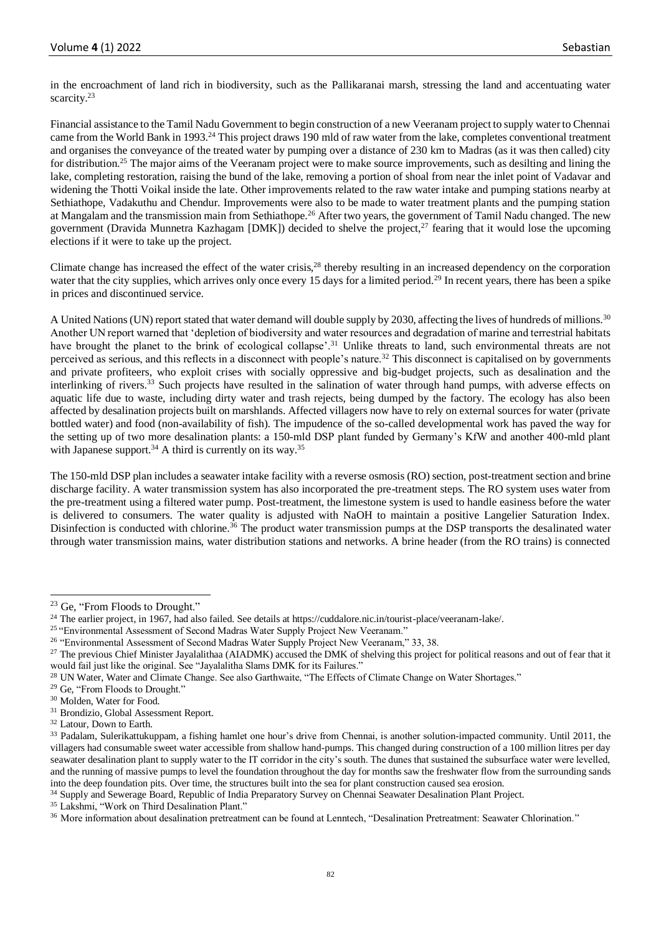in the encroachment of land rich in biodiversity, such as the Pallikaranai marsh, stressing the land and accentuating water scarcity.<sup>23</sup>

Financial assistance to the Tamil Nadu Government to begin construction of a new Veeranam project to supply water to Chennai came from the World Bank in 1993.<sup>24</sup> This project draws 190 mld of raw water from the lake, completes conventional treatment and organises the conveyance of the treated water by pumping over a distance of 230 km to Madras (as it was then called) city for distribution.<sup>25</sup> The major aims of the Veeranam project were to make source improvements, such as desilting and lining the lake, completing restoration, raising the bund of the lake, removing a portion of shoal from near the inlet point of Vadavar and widening the Thotti Voikal inside the late. Other improvements related to the raw water intake and pumping stations nearby at Sethiathope, Vadakuthu and Chendur. Improvements were also to be made to water treatment plants and the pumping station at Mangalam and the transmission main from Sethiathope.<sup>26</sup> After two years, the government of Tamil Nadu changed. The new government (Dravida Munnetra Kazhagam [DMK]) decided to shelve the project,<sup>27</sup> fearing that it would lose the upcoming elections if it were to take up the project.

Climate change has increased the effect of the water crisis.<sup>28</sup> thereby resulting in an increased dependency on the corporation water that the city supplies, which arrives only once every 15 days for a limited period.<sup>29</sup> In recent years, there has been a spike in prices and discontinued service.

A United Nations (UN) report stated that water demand will double supply by 2030, affecting the lives of hundreds of millions.<sup>30</sup> Another UN report warned that 'depletion of biodiversity and water resources and degradation of marine and terrestrial habitats have brought the planet to the brink of ecological collapse'.<sup>31</sup> Unlike threats to land, such environmental threats are not perceived as serious, and this reflects in a disconnect with people's nature.<sup>32</sup> This disconnect is capitalised on by governments and private profiteers, who exploit crises with socially oppressive and big-budget projects, such as desalination and the interlinking of rivers.<sup>33</sup> Such projects have resulted in the salination of water through hand pumps, with adverse effects on aquatic life due to waste, including dirty water and trash rejects, being dumped by the factory. The ecology has also been affected by desalination projects built on marshlands. Affected villagers now have to rely on external sources for water (private bottled water) and food (non-availability of fish). The impudence of the so-called developmental work has paved the way for the setting up of two more desalination plants: a 150-mld DSP plant funded by Germany's KfW and another 400-mld plant with Japanese support.<sup>34</sup> A third is currently on its way.<sup>35</sup>

The 150-mld DSP plan includes a seawater intake facility with a reverse osmosis (RO) section, post-treatment section and brine discharge facility. A water transmission system has also incorporated the pre-treatment steps. The RO system uses water from the pre-treatment using a filtered water pump. Post-treatment, the limestone system is used to handle easiness before the water is delivered to consumers. The water quality is adjusted with NaOH to maintain a positive Langelier Saturation Index. Disinfection is conducted with chlorine.<sup>36</sup> The product water transmission pumps at the DSP transports the desalinated water through water transmission mains, water distribution stations and networks. A brine header (from the RO trains) is connected

<sup>&</sup>lt;sup>23</sup> Ge, "From Floods to Drought."

<sup>&</sup>lt;sup>24</sup> The earlier project, in 1967, had also failed. See details at https://cuddalore.nic.in/tourist-place/veeranam-lake/.

<sup>&</sup>lt;sup>25</sup> "Environmental Assessment of Second Madras Water Supply Project New Veeranam."

<sup>&</sup>lt;sup>26</sup> "Environmental Assessment of Second Madras Water Supply Project New Veeranam," 33, 38.

<sup>&</sup>lt;sup>27</sup> The previous Chief Minister Jayalalithaa (AIADMK) accused the DMK of shelving this project for political reasons and out of fear that it would fail just like the original. See "Jayalalitha Slams DMK for its Failures."

<sup>&</sup>lt;sup>28</sup> UN Water, Water and Climate Change. See also Garthwaite, "The Effects of Climate Change on Water Shortages."

<sup>&</sup>lt;sup>29</sup> Ge, "From Floods to Drought."

<sup>30</sup> Molden, Water for Food.

<sup>31</sup> Brondizio, Global Assessment Report.

<sup>32</sup> Latour, Down to Earth.

<sup>&</sup>lt;sup>33</sup> Padalam, Sulerikattukuppam, a fishing hamlet one hour's drive from Chennai, is another solution-impacted community. Until 2011, the villagers had consumable sweet water accessible from shallow hand-pumps. This changed during construction of a 100 million litres per day seawater desalination plant to supply water to the IT corridor in the city's south. The dunes that sustained the subsurface water were levelled, and the running of massive pumps to level the foundation throughout the day for months saw the freshwater flow from the surrounding sands into the deep foundation pits. Over time, the structures built into the sea for plant construction caused sea erosion.

<sup>&</sup>lt;sup>34</sup> Supply and Sewerage Board, Republic of India Preparatory Survey on Chennai Seawater Desalination Plant Project.

<sup>&</sup>lt;sup>35</sup> Lakshmi, "Work on Third Desalination Plant."

<sup>36</sup> More information about desalination pretreatment can be found at Lenntech, "Desalination Pretreatment: Seawater Chlorination."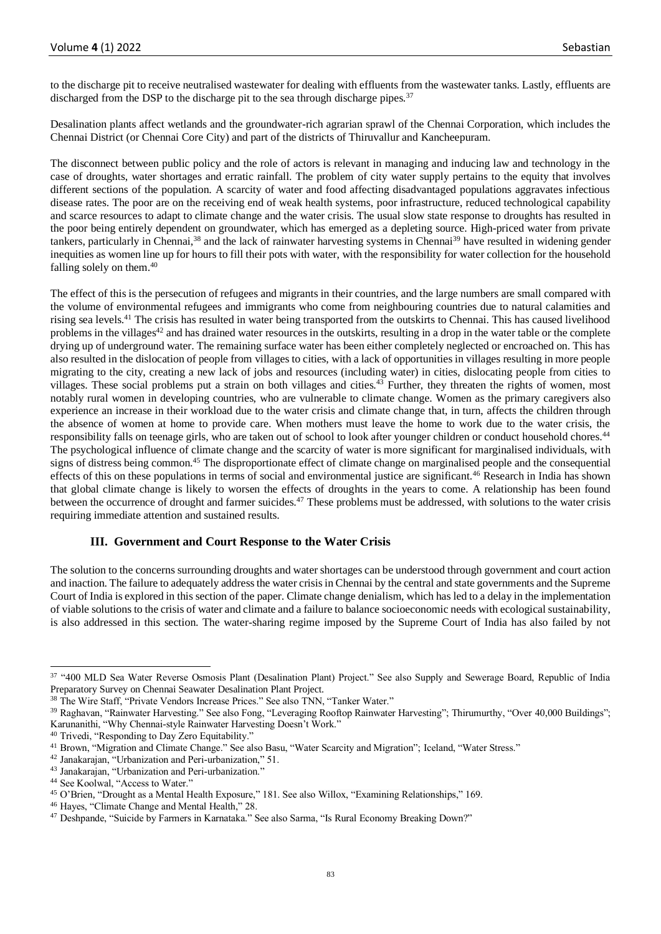to the discharge pit to receive neutralised wastewater for dealing with effluents from the wastewater tanks. Lastly, effluents are discharged from the DSP to the discharge pit to the sea through discharge pipes.<sup>37</sup>

Desalination plants affect wetlands and the groundwater-rich agrarian sprawl of the Chennai Corporation, which includes the Chennai District (or Chennai Core City) and part of the districts of Thiruvallur and Kancheepuram.

The disconnect between public policy and the role of actors is relevant in managing and inducing law and technology in the case of droughts, water shortages and erratic rainfall. The problem of city water supply pertains to the equity that involves different sections of the population. A scarcity of water and food affecting disadvantaged populations aggravates infectious disease rates. The poor are on the receiving end of weak health systems, poor infrastructure, reduced technological capability and scarce resources to adapt to climate change and the water crisis. The usual slow state response to droughts has resulted in the poor being entirely dependent on groundwater, which has emerged as a depleting source. High-priced water from private tankers, particularly in Chennai,<sup>38</sup> and the lack of rainwater harvesting systems in Chennai<sup>39</sup> have resulted in widening gender inequities as women line up for hours to fill their pots with water, with the responsibility for water collection for the household falling solely on them.<sup>40</sup>

The effect of this is the persecution of refugees and migrants in their countries, and the large numbers are small compared with the volume of environmental refugees and immigrants who come from neighbouring countries due to natural calamities and rising sea levels.<sup>41</sup> The crisis has resulted in water being transported from the outskirts to Chennai. This has caused livelihood problems in the villages<sup>42</sup> and has drained water resources in the outskirts, resulting in a drop in the water table or the complete drying up of underground water. The remaining surface water has been either completely neglected or encroached on. This has also resulted in the dislocation of people from villages to cities, with a lack of opportunities in villages resulting in more people migrating to the city, creating a new lack of jobs and resources (including water) in cities, dislocating people from cities to villages. These social problems put a strain on both villages and cities.<sup>43</sup> Further, they threaten the rights of women, most notably rural women in developing countries, who are vulnerable to climate change. Women as the primary caregivers also experience an increase in their workload due to the water crisis and climate change that, in turn, affects the children through the absence of women at home to provide care. When mothers must leave the home to work due to the water crisis, the responsibility falls on teenage girls, who are taken out of school to look after younger children or conduct household chores.<sup>44</sup> The psychological influence of climate change and the scarcity of water is more significant for marginalised individuals, with signs of distress being common.<sup>45</sup> The disproportionate effect of climate change on marginalised people and the consequential effects of this on these populations in terms of social and environmental justice are significant.<sup>46</sup> Research in India has shown that global climate change is likely to worsen the effects of droughts in the years to come. A relationship has been found between the occurrence of drought and farmer suicides.<sup>47</sup> These problems must be addressed, with solutions to the water crisis requiring immediate attention and sustained results.

## **III. Government and Court Response to the Water Crisis**

The solution to the concerns surrounding droughts and water shortages can be understood through government and court action and inaction. The failure to adequately address the water crisis in Chennai by the central and state governments and the Supreme Court of India is explored in this section of the paper. Climate change denialism, which has led to a delay in the implementation of viable solutions to the crisis of water and climate and a failure to balance socioeconomic needs with ecological sustainability, is also addressed in this section. The water-sharing regime imposed by the Supreme Court of India has also failed by not

<sup>&</sup>lt;sup>37</sup> "400 MLD Sea Water Reverse Osmosis Plant (Desalination Plant) Project." See also Supply and Sewerage Board, Republic of India Preparatory Survey on Chennai Seawater Desalination Plant Project.

<sup>38</sup> The Wire Staff, "Private Vendors Increase Prices." See also TNN, "Tanker Water."

<sup>&</sup>lt;sup>39</sup> Raghavan, "Rainwater Harvesting." See also Fong, "Leveraging Rooftop Rainwater Harvesting"; Thirumurthy, "Over 40,000 Buildings"; Karunanithi, "Why Chennai-style Rainwater Harvesting Doesn't Work."

<sup>40</sup> Trivedi, "Responding to Day Zero Equitability."

<sup>&</sup>lt;sup>41</sup> Brown, "Migration and Climate Change." See also Basu, "Water Scarcity and Migration"; Iceland, "Water Stress."

<sup>42</sup> Janakarajan, "Urbanization and Peri-urbanization," 51.

<sup>&</sup>lt;sup>43</sup> Janakarajan, "Urbanization and Peri-urbanization."

<sup>44</sup> See Koolwal, "Access to Water."

<sup>45</sup> O'Brien, "Drought as a Mental Health Exposure," 181. See also Willox, "Examining Relationships," 169.

<sup>46</sup> Hayes, "Climate Change and Mental Health," 28.

<sup>47</sup> Deshpande, "Suicide by Farmers in Karnataka." See also Sarma, "Is Rural Economy Breaking Down?"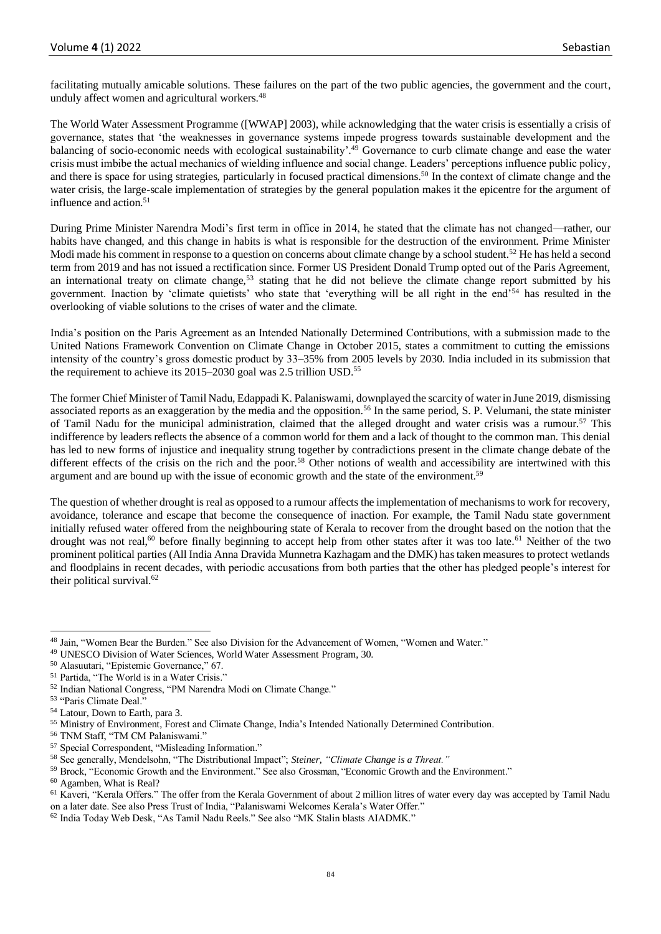facilitating mutually amicable solutions. These failures on the part of the two public agencies, the government and the court, unduly affect women and agricultural workers.<sup>48</sup>

The World Water Assessment Programme ([WWAP] 2003), while acknowledging that the water crisis is essentially a crisis of governance, states that 'the weaknesses in governance systems impede progress towards sustainable development and the balancing of socio-economic needs with ecological sustainability'.<sup>49</sup> Governance to curb climate change and ease the water crisis must imbibe the actual mechanics of wielding influence and social change. Leaders' perceptions influence public policy, and there is space for using strategies, particularly in focused practical dimensions.<sup>50</sup> In the context of climate change and the water crisis, the large-scale implementation of strategies by the general population makes it the epicentre for the argument of influence and action.<sup>51</sup>

During Prime Minister Narendra Modi's first term in office in 2014, he stated that the climate has not changed—rather, our habits have changed, and this change in habits is what is responsible for the destruction of the environment. Prime Minister Modi made his comment in response to a question on concerns about climate change by a school student.<sup>52</sup> He has held a second term from 2019 and has not issued a rectification since. Former US President Donald Trump opted out of the Paris Agreement, an international treaty on climate change,<sup>53</sup> stating that he did not believe the climate change report submitted by his government. Inaction by 'climate quietists' who state that 'everything will be all right in the end'<sup>54</sup> has resulted in the overlooking of viable solutions to the crises of water and the climate.

India's position on the Paris Agreement as an Intended Nationally Determined Contributions, with a submission made to the United Nations Framework Convention on Climate Change in October 2015, states a commitment to cutting the emissions intensity of the country's gross domestic product by 33–35% from 2005 levels by 2030. India included in its submission that the requirement to achieve its 2015–2030 goal was 2.5 trillion USD.<sup>55</sup>

The former Chief Minister of Tamil Nadu, Edappadi K. Palaniswami, downplayed the scarcity of water in June 2019, dismissing associated reports as an exaggeration by the media and the opposition.<sup>56</sup> In the same period, S. P. Velumani, the state minister of Tamil Nadu for the municipal administration, claimed that the alleged drought and water crisis was a rumour.<sup>57</sup> This indifference by leaders reflects the absence of a common world for them and a lack of thought to the common man. This denial has led to new forms of injustice and inequality strung together by contradictions present in the climate change debate of the different effects of the crisis on the rich and the poor.<sup>58</sup> Other notions of wealth and accessibility are intertwined with this argument and are bound up with the issue of economic growth and the state of the environment.<sup>59</sup>

The question of whether drought is real as opposed to a rumour affects the implementation of mechanisms to work for recovery, avoidance, tolerance and escape that become the consequence of inaction. For example, the Tamil Nadu state government initially refused water offered from the neighbouring state of Kerala to recover from the drought based on the notion that the drought was not real,<sup>60</sup> before finally beginning to accept help from other states after it was too late.<sup>61</sup> Neither of the two prominent political parties (All India Anna Dravida Munnetra Kazhagam and the DMK) has taken measures to protect wetlands and floodplains in recent decades, with periodic accusations from both parties that the other has pledged people's interest for their political survival.<sup>62</sup>

<sup>48</sup> Jain, "Women Bear the Burden." See also Division for the Advancement of Women, "Women and Water."

<sup>49</sup> UNESCO Division of Water Sciences, World Water Assessment Program, 30.

<sup>50</sup> Alasuutari, "Epistemic Governance," 67.

<sup>51</sup> Partida, "The World is in a Water Crisis."

<sup>52</sup> Indian National Congress, "PM Narendra Modi on Climate Change."

<sup>53</sup> "Paris Climate Deal."

<sup>54</sup> Latour, Down to Earth, para 3.

<sup>55</sup> Ministry of Environment, Forest and Climate Change, India's Intended Nationally Determined Contribution.

<sup>56</sup> TNM Staff, "TM CM Palaniswami."

<sup>57</sup> Special Correspondent, "Misleading Information."

<sup>58</sup> See generally, Mendelsohn, "The Distributional Impact"; *Steiner, "Climate Change is a Threat."*

<sup>&</sup>lt;sup>59</sup> Brock, "Economic Growth and the Environment." See also Grossman, "Economic Growth and the Environment."

<sup>60</sup> Agamben, What is Real?

<sup>&</sup>lt;sup>61</sup> Kaveri, "Kerala Offers." The offer from the Kerala Government of about 2 million litres of water every day was accepted by Tamil Nadu on a later date. See also Press Trust of India, "Palaniswami Welcomes Kerala's Water Offer."

<sup>62</sup> India Today Web Desk, "As Tamil Nadu Reels." See also "MK Stalin blasts AIADMK."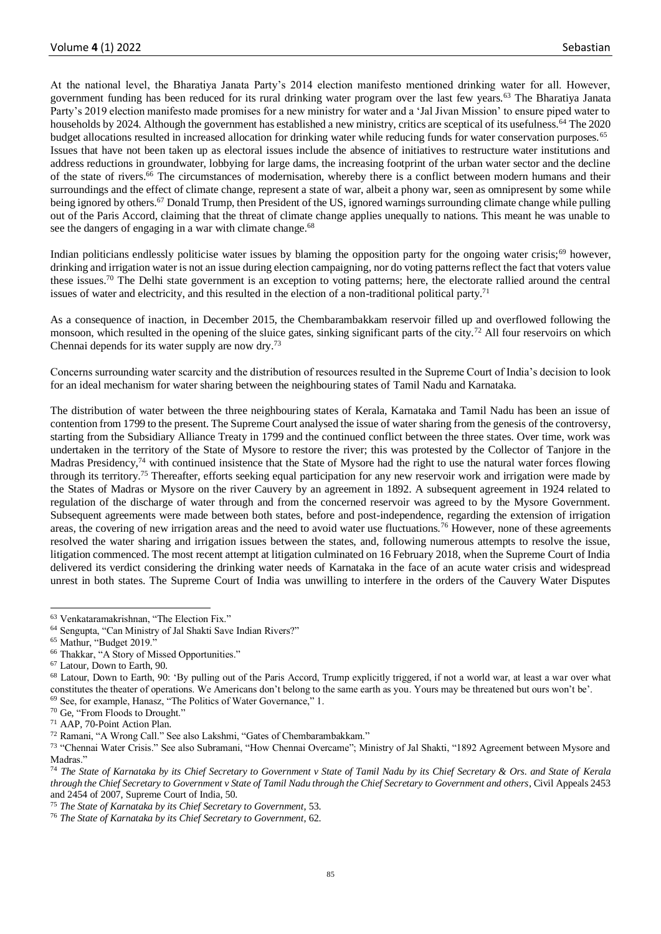At the national level, the Bharatiya Janata Party's 2014 election manifesto mentioned drinking water for all. However, government funding has been reduced for its rural drinking water program over the last few years.<sup>63</sup> The Bharatiya Janata Party's 2019 election manifesto made promises for a new ministry for water and a 'Jal Jivan Mission' to ensure piped water to households by 2024. Although the government has established a new ministry, critics are sceptical of its usefulness.<sup>64</sup> The 2020 budget allocations resulted in increased allocation for drinking water while reducing funds for water conservation purposes.<sup>65</sup> Issues that have not been taken up as electoral issues include the absence of initiatives to restructure water institutions and address reductions in groundwater, lobbying for large dams, the increasing footprint of the urban water sector and the decline of the state of rivers. <sup>66</sup> The circumstances of modernisation, whereby there is a conflict between modern humans and their surroundings and the effect of climate change, represent a state of war, albeit a phony war, seen as omnipresent by some while being ignored by others.<sup>67</sup> Donald Trump, then President of the US, ignored warnings surrounding climate change while pulling out of the Paris Accord, claiming that the threat of climate change applies unequally to nations. This meant he was unable to see the dangers of engaging in a war with climate change.<sup>68</sup>

Indian politicians endlessly politicise water issues by blaming the opposition party for the ongoing water crisis;<sup>69</sup> however, drinking and irrigation water is not an issue during election campaigning, nor do voting patterns reflect the fact that voters value these issues.<sup>70</sup> The Delhi state government is an exception to voting patterns; here, the electorate rallied around the central issues of water and electricity, and this resulted in the election of a non-traditional political party.<sup>71</sup>

As a consequence of inaction, in December 2015, the Chembarambakkam reservoir filled up and overflowed following the monsoon, which resulted in the opening of the sluice gates, sinking significant parts of the city.<sup>72</sup> All four reservoirs on which Chennai depends for its water supply are now dry.<sup>73</sup>

Concerns surrounding water scarcity and the distribution of resources resulted in the Supreme Court of India's decision to look for an ideal mechanism for water sharing between the neighbouring states of Tamil Nadu and Karnataka.

The distribution of water between the three neighbouring states of Kerala, Karnataka and Tamil Nadu has been an issue of contention from 1799 to the present. The Supreme Court analysed the issue of water sharing from the genesis of the controversy, starting from the Subsidiary Alliance Treaty in 1799 and the continued conflict between the three states. Over time, work was undertaken in the territory of the State of Mysore to restore the river; this was protested by the Collector of Tanjore in the Madras Presidency,<sup>74</sup> with continued insistence that the State of Mysore had the right to use the natural water forces flowing through its territory.<sup>75</sup> Thereafter, efforts seeking equal participation for any new reservoir work and irrigation were made by the States of Madras or Mysore on the river Cauvery by an agreement in 1892. A subsequent agreement in 1924 related to regulation of the discharge of water through and from the concerned reservoir was agreed to by the Mysore Government. Subsequent agreements were made between both states, before and post-independence, regarding the extension of irrigation areas, the covering of new irrigation areas and the need to avoid water use fluctuations.<sup>76</sup> However, none of these agreements resolved the water sharing and irrigation issues between the states, and, following numerous attempts to resolve the issue, litigation commenced. The most recent attempt at litigation culminated on 16 February 2018, when the Supreme Court of India delivered its verdict considering the drinking water needs of Karnataka in the face of an acute water crisis and widespread unrest in both states. The Supreme Court of India was unwilling to interfere in the orders of the Cauvery Water Disputes

<sup>63</sup> Venkataramakrishnan, "The Election Fix."

<sup>64</sup> Sengupta, "Can Ministry of Jal Shakti Save Indian Rivers?"

<sup>65</sup> Mathur, "Budget 2019."

<sup>66</sup> Thakkar, "A Story of Missed Opportunities."

<sup>67</sup> Latour, Down to Earth, 90.

<sup>68</sup> Latour, Down to Earth, 90: 'By pulling out of the Paris Accord, Trump explicitly triggered, if not a world war, at least a war over what constitutes the theater of operations. We Americans don't belong to the same earth as you. Yours may be threatened but ours won't be'. <sup>69</sup> See, for example, Hanasz, "The Politics of Water Governance," 1.

<sup>70</sup> Ge, "From Floods to Drought."

<sup>71</sup> AAP, 70-Point Action Plan.

<sup>72</sup> Ramani, "A Wrong Call." See also Lakshmi, "Gates of Chembarambakkam."

<sup>&</sup>lt;sup>73</sup> "Chennai Water Crisis." See also Subramani, "How Chennai Overcame"; Ministry of Jal Shakti, "1892 Agreement between Mysore and Madras."

<sup>74</sup> *The State of Karnataka by its Chief Secretary to Government v State of Tamil Nadu by its Chief Secretary & Ors. and State of Kerala through the Chief Secretary to Government v State of Tamil Nadu through the Chief Secretary to Government and others*, Civil Appeals 2453 and 2454 of 2007, Supreme Court of India, 50.

<sup>75</sup> *The State of Karnataka by its Chief Secretary to Government*, 53.

<sup>76</sup> *The State of Karnataka by its Chief Secretary to Government*, 62.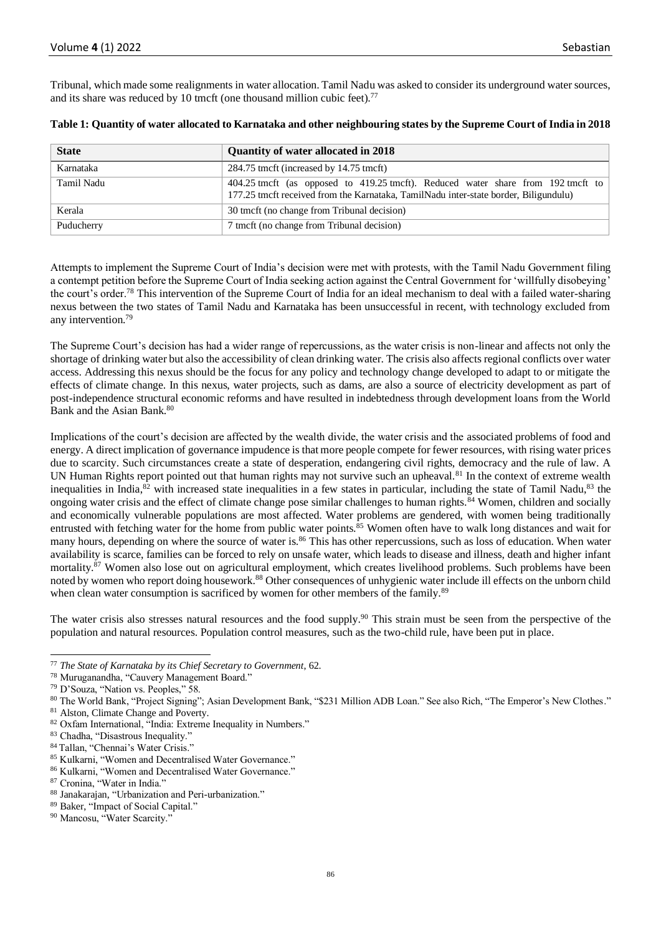Tribunal, which made some realignments in water allocation. Tamil Nadu was asked to consider its underground water sources, and its share was reduced by 10 tmcft (one thousand million cubic feet).<sup>77</sup>

| <b>State</b> | Quantity of water allocated in 2018                                                                                                                                      |
|--------------|--------------------------------------------------------------------------------------------------------------------------------------------------------------------------|
| Karnataka    | 284.75 tmcft (increased by 14.75 tmcft)                                                                                                                                  |
| Tamil Nadu   | 404.25 tmcft (as opposed to 419.25 tmcft). Reduced water share from 192 tmcft to<br>177.25 tmcft received from the Karnataka, TamilNadu inter-state border, Biligundulu) |
| Kerala       | 30 tmcft (no change from Tribunal decision)                                                                                                                              |
| Puducherry   | 7 tmcft (no change from Tribunal decision)                                                                                                                               |

|  | Table 1: Quantity of water allocated to Karnataka and other neighbouring states by the Supreme Court of India in 2018 |  |  |  |
|--|-----------------------------------------------------------------------------------------------------------------------|--|--|--|
|  |                                                                                                                       |  |  |  |

Attempts to implement the Supreme Court of India's decision were met with protests, with the Tamil Nadu Government filing a contempt petition before the Supreme Court of India seeking action against the Central Government for 'willfully disobeying' the court's order.<sup>78</sup> This intervention of the Supreme Court of India for an ideal mechanism to deal with a failed water-sharing nexus between the two states of Tamil Nadu and Karnataka has been unsuccessful in recent, with technology excluded from any intervention.<sup>79</sup>

The Supreme Court's decision has had a wider range of repercussions, as the water crisis is non-linear and affects not only the shortage of drinking water but also the accessibility of clean drinking water. The crisis also affects regional conflicts over water access. Addressing this nexus should be the focus for any policy and technology change developed to adapt to or mitigate the effects of climate change. In this nexus, water projects, such as dams, are also a source of electricity development as part of post-independence structural economic reforms and have resulted in indebtedness through development loans from the World Bank and the Asian Bank.<sup>80</sup>

Implications of the court's decision are affected by the wealth divide, the water crisis and the associated problems of food and energy. A direct implication of governance impudence is that more people compete for fewer resources, with rising water prices due to scarcity. Such circumstances create a state of desperation, endangering civil rights, democracy and the rule of law. A UN Human Rights report pointed out that human rights may not survive such an upheaval.<sup>81</sup> In the context of extreme wealth inequalities in India,<sup>82</sup> with increased state inequalities in a few states in particular, including the state of Tamil Nadu,<sup>83</sup> the ongoing water crisis and the effect of climate change pose similar challenges to human rights.<sup>84</sup> Women, children and socially and economically vulnerable populations are most affected. Water problems are gendered, with women being traditionally entrusted with fetching water for the home from public water points. $85$  Women often have to walk long distances and wait for many hours, depending on where the source of water is.<sup>86</sup> This has other repercussions, such as loss of education. When water availability is scarce, families can be forced to rely on unsafe water, which leads to disease and illness, death and higher infant mortality.<sup>87</sup> Women also lose out on agricultural employment, which creates livelihood problems. Such problems have been noted by women who report doing housework.<sup>88</sup> Other consequences of unhygienic water include ill effects on the unborn child when clean water consumption is sacrificed by women for other members of the family.<sup>89</sup>

The water crisis also stresses natural resources and the food supply.<sup>90</sup> This strain must be seen from the perspective of the population and natural resources. Population control measures, such as the two-child rule, have been put in place.

<sup>77</sup> *The State of Karnataka by its Chief Secretary to Government*, 62.

<sup>78</sup> Muruganandha, "Cauvery Management Board."

<sup>79</sup> D'Souza, "Nation vs. Peoples," 58.

<sup>80</sup> The World Bank, "Project Signing"; Asian Development Bank, "\$231 Million ADB Loan." See also Rich, "The Emperor's New Clothes."

<sup>81</sup> Alston, Climate Change and Poverty.

<sup>82</sup> Oxfam International, "India: Extreme Inequality in Numbers."

<sup>83</sup> Chadha, "Disastrous Inequality."

<sup>84</sup> Tallan, "Chennai's Water Crisis."

<sup>85</sup> Kulkarni, "Women and Decentralised Water Governance."

<sup>86</sup> Kulkarni, "Women and Decentralised Water Governance."

<sup>87</sup> Cronina, "Water in India."

<sup>88</sup> Janakarajan, "Urbanization and Peri-urbanization."

<sup>89</sup> Baker, "Impact of Social Capital."

<sup>90</sup> Mancosu, "Water Scarcity."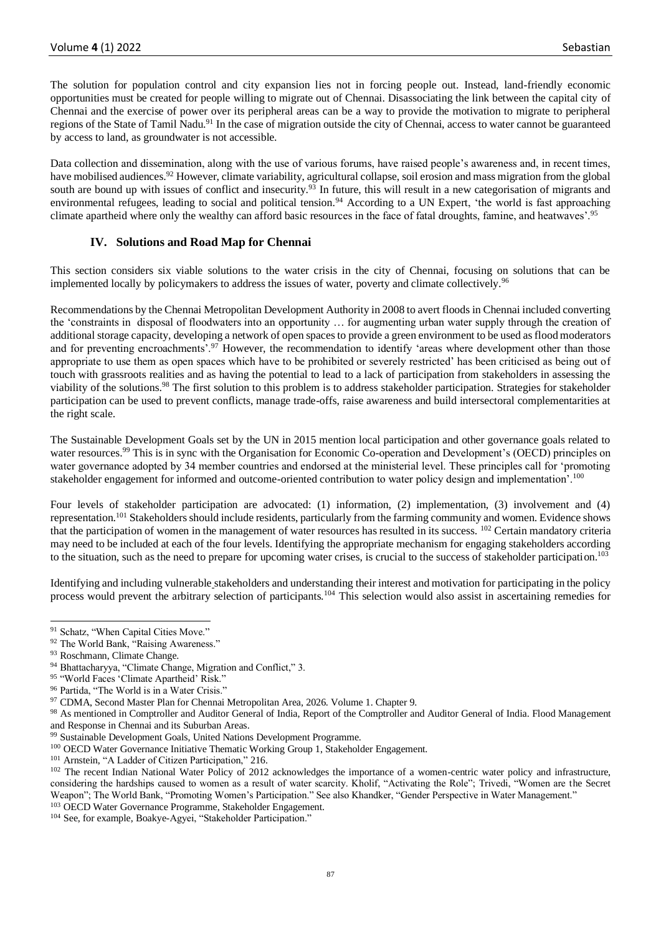The solution for population control and city expansion lies not in forcing people out. Instead, land-friendly economic opportunities must be created for people willing to migrate out of Chennai. Disassociating the link between the capital city of Chennai and the exercise of power over its peripheral areas can be a way to provide the motivation to migrate to peripheral regions of the State of Tamil Nadu.<sup>91</sup> In the case of migration outside the city of Chennai, access to water cannot be guaranteed by access to land, as groundwater is not accessible.

Data collection and dissemination, along with the use of various forums, have raised people's awareness and, in recent times, have mobilised audiences.<sup>92</sup> However, climate variability, agricultural collapse, soil erosion and mass migration from the global south are bound up with issues of conflict and insecurity.<sup>93</sup> In future, this will result in a new categorisation of migrants and environmental refugees, leading to social and political tension.<sup>94</sup> According to a UN Expert, 'the world is fast approaching climate apartheid where only the wealthy can afford basic resources in the face of fatal droughts, famine, and heatwaves'.<sup>95</sup>

## **IV. Solutions and Road Map for Chennai**

This section considers six viable solutions to the water crisis in the city of Chennai, focusing on solutions that can be implemented locally by policymakers to address the issues of water, poverty and climate collectively.<sup>96</sup>

Recommendations by the Chennai Metropolitan Development Authority in 2008 to avert floods in Chennai included converting the 'constraints in disposal of floodwaters into an opportunity … for augmenting urban water supply through the creation of additional storage capacity, developing a network of open spaces to provide a green environment to be used as flood moderators and for preventing encroachments'.<sup>97</sup> However, the recommendation to identify 'areas where development other than those appropriate to use them as open spaces which have to be prohibited or severely restricted' has been criticised as being out of touch with grassroots realities and as having the potential to lead to a lack of participation from stakeholders in assessing the viability of the solutions.<sup>98</sup> The first solution to this problem is to address stakeholder participation. Strategies for stakeholder participation can be used to prevent conflicts, manage trade-offs, raise awareness and build intersectoral complementarities at the right scale.

The Sustainable Development Goals set by the UN in 2015 mention local participation and other governance goals related to water resources.<sup>99</sup> This is in sync with the Organisation for Economic Co-operation and Development's (OECD) principles on water governance adopted by 34 member countries and endorsed at the ministerial level. These principles call for 'promoting stakeholder engagement for informed and outcome-oriented contribution to water policy design and implementation'.<sup>100</sup>

Four levels of stakeholder participation are advocated: (1) information, (2) implementation, (3) involvement and (4) representation.<sup>101</sup> Stakeholders should include residents, particularly from the farming community and women. Evidence shows that the participation of women in the management of water resources has resulted in its success.  $102$  Certain mandatory criteria may need to be included at each of the four levels. Identifying the appropriate mechanism for engaging stakeholders according to the situation, such as the need to prepare for upcoming water crises, is crucial to the success of stakeholder participation.<sup>103</sup>

Identifying and including vulnerable stakeholders and understanding their interest and motivation for participating in the policy process would prevent the arbitrary selection of participants.<sup>104</sup> This selection would also assist in ascertaining remedies for

<sup>&</sup>lt;sup>91</sup> Schatz, "When Capital Cities Move."

<sup>92</sup> The World Bank, "Raising Awareness."

<sup>93</sup> Roschmann, Climate Change.

Bhattacharyya, "Climate Change, Migration and Conflict," 3.

<sup>95 &</sup>quot;World Faces 'Climate Apartheid' Risk."

<sup>&</sup>lt;sup>96</sup> Partida, "The World is in a Water Crisis."

<sup>97</sup> CDMA, Second Master Plan for Chennai Metropolitan Area, 2026. Volume 1. Chapter 9.

<sup>98</sup> As mentioned in Comptroller and Auditor General of India, Report of the Comptroller and Auditor General of India. Flood Management and Response in Chennai and its Suburban Areas.

<sup>&</sup>lt;sup>99</sup> Sustainable Development Goals, United Nations Development Programme.

<sup>100</sup> OECD Water Governance Initiative Thematic Working Group 1, Stakeholder Engagement.

<sup>101</sup> Arnstein, "A Ladder of Citizen Participation," 216.

<sup>&</sup>lt;sup>102</sup> The recent Indian National Water Policy of 2012 acknowledges the importance of a women-centric water policy and infrastructure, considering the hardships caused to women as a result of water scarcity. Kholif, "Activating the Role"; Trivedi, "Women are the Secret Weapon"; The World Bank, "Promoting Women's Participation." See also Khandker, "Gender Perspective in Water Management." <sup>103</sup> OECD Water Governance Programme, Stakeholder Engagement.

<sup>&</sup>lt;sup>104</sup> See, for example, Boakye-Agyei, "Stakeholder Participation."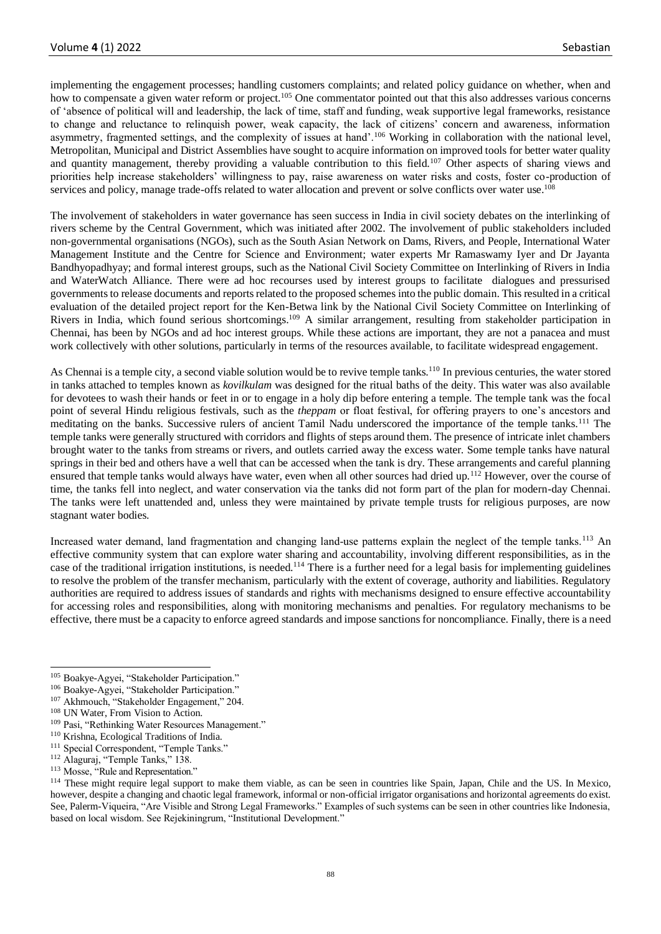implementing the engagement processes; handling customers complaints; and related policy guidance on whether, when and how to compensate a given water reform or project.<sup>105</sup> One commentator pointed out that this also addresses various concerns of 'absence of political will and leadership, the lack of time, staff and funding, weak supportive legal frameworks, resistance to change and reluctance to relinquish power, weak capacity, the lack of citizens' concern and awareness, information asymmetry, fragmented settings, and the complexity of issues at hand'.<sup>106</sup> Working in collaboration with the national level, Metropolitan, Municipal and District Assemblies have sought to acquire information on improved tools for better water quality and quantity management, thereby providing a valuable contribution to this field.<sup>107</sup> Other aspects of sharing views and priorities help increase stakeholders' willingness to pay, raise awareness on water risks and costs, foster co-production of services and policy, manage trade-offs related to water allocation and prevent or solve conflicts over water use.<sup>108</sup>

The involvement of stakeholders in water governance has seen success in India in civil society debates on the interlinking of rivers scheme by the Central Government, which was initiated after 2002. The involvement of public stakeholders included non-governmental organisations (NGOs), such as the South Asian Network on Dams, Rivers, and People, International Water Management Institute and the Centre for Science and Environment; water experts Mr Ramaswamy Iyer and Dr Jayanta Bandhyopadhyay; and formal interest groups, such as the National Civil Society Committee on Interlinking of Rivers in India and WaterWatch Alliance. There were ad hoc recourses used by interest groups to facilitate dialogues and pressurised governments to release documents and reports related to the proposed schemes into the public domain. This resulted in a critical evaluation of the detailed project report for the Ken-Betwa link by the National Civil Society Committee on Interlinking of Rivers in India, which found serious shortcomings.<sup>109</sup> A similar arrangement, resulting from stakeholder participation in Chennai, has been by NGOs and ad hoc interest groups. While these actions are important, they are not a panacea and must work collectively with other solutions, particularly in terms of the resources available, to facilitate widespread engagement.

As Chennai is a temple city, a second viable solution would be to revive temple tanks.<sup>110</sup> In previous centuries, the water stored in tanks attached to temples known as *kovilkulam* was designed for the ritual baths of the deity. This water was also available for devotees to wash their hands or feet in or to engage in a holy dip before entering a temple. The temple tank was the focal point of several Hindu religious festivals, such as the *theppam* or float festival, for offering prayers to one's ancestors and meditating on the banks. Successive rulers of ancient Tamil Nadu underscored the importance of the temple tanks.<sup>111</sup> The temple tanks were generally structured with corridors and flights of steps around them. The presence of intricate inlet chambers brought water to the tanks from streams or rivers, and outlets carried away the excess water. Some temple tanks have natural springs in their bed and others have a well that can be accessed when the tank is dry. These arrangements and careful planning ensured that temple tanks would always have water, even when all other sources had dried up.<sup>112</sup> However, over the course of time, the tanks fell into neglect, and water conservation via the tanks did not form part of the plan for modern-day Chennai. The tanks were left unattended and, unless they were maintained by private temple trusts for religious purposes, are now stagnant water bodies.

Increased water demand, land fragmentation and changing land-use patterns explain the neglect of the temple tanks.<sup>113</sup> An effective community system that can explore water sharing and accountability, involving different responsibilities, as in the case of the traditional irrigation institutions, is needed.<sup>114</sup> There is a further need for a legal basis for implementing guidelines to resolve the problem of the transfer mechanism, particularly with the extent of coverage, authority and liabilities. Regulatory authorities are required to address issues of standards and rights with mechanisms designed to ensure effective accountability for accessing roles and responsibilities, along with monitoring mechanisms and penalties. For regulatory mechanisms to be effective, there must be a capacity to enforce agreed standards and impose sanctions for noncompliance. Finally, there is a need

<sup>105</sup> Boakye-Agyei, "Stakeholder Participation."

<sup>106</sup> Boakye-Agyei, "Stakeholder Participation."

<sup>107</sup> Akhmouch, "Stakeholder Engagement," 204.

<sup>&</sup>lt;sup>108</sup> UN Water, From Vision to Action.

<sup>109</sup> Pasi, "Rethinking Water Resources Management."

<sup>110</sup> Krishna, Ecological Traditions of India.

<sup>&</sup>lt;sup>111</sup> Special Correspondent, "Temple Tanks."

<sup>112</sup> Alaguraj, "Temple Tanks," 138.

<sup>&</sup>lt;sup>113</sup> Mosse, "Rule and Representation."

<sup>&</sup>lt;sup>114</sup> These might require legal support to make them viable, as can be seen in countries like Spain, Japan, Chile and the US. In Mexico, however, despite a changing and chaotic legal framework, informal or non-official irrigator organisations and horizontal agreements do exist. See, Palerm-Viqueira, "Are Visible and Strong Legal Frameworks." Examples of such systems can be seen in other countries like Indonesia, based on local wisdom. See Rejekiningrum, "Institutional Development."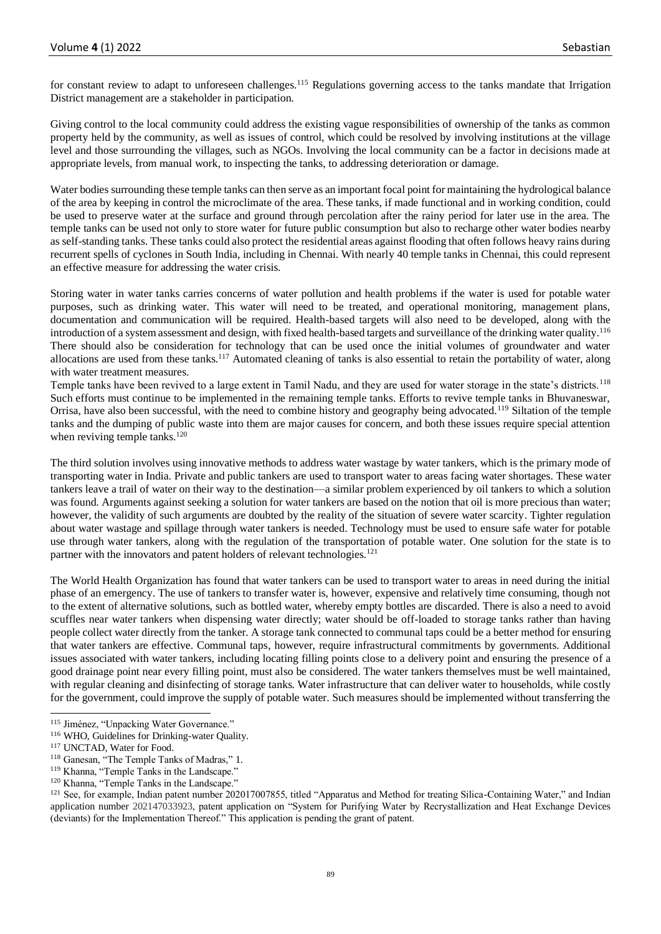for constant review to adapt to unforeseen challenges.<sup>115</sup> Regulations governing access to the tanks mandate that Irrigation District management are a stakeholder in participation.

Giving control to the local community could address the existing vague responsibilities of ownership of the tanks as common property held by the community, as well as issues of control, which could be resolved by involving institutions at the village level and those surrounding the villages, such as NGOs. Involving the local community can be a factor in decisions made at appropriate levels, from manual work, to inspecting the tanks, to addressing deterioration or damage.

Water bodies surrounding these temple tanks can then serve as an important focal point for maintaining the hydrological balance of the area by keeping in control the microclimate of the area. These tanks, if made functional and in working condition, could be used to preserve water at the surface and ground through percolation after the rainy period for later use in the area. The temple tanks can be used not only to store water for future public consumption but also to recharge other water bodies nearby as self-standing tanks. These tanks could also protect the residential areas against flooding that often follows heavy rains during recurrent spells of cyclones in South India, including in Chennai. With nearly 40 temple tanks in Chennai, this could represent an effective measure for addressing the water crisis.

Storing water in water tanks carries concerns of water pollution and health problems if the water is used for potable water purposes, such as drinking water. This water will need to be treated, and operational monitoring, management plans, documentation and communication will be required. Health-based targets will also need to be developed, along with the introduction of a system assessment and design, with fixed health-based targets and surveillance of the drinking water quality.<sup>116</sup> There should also be consideration for technology that can be used once the initial volumes of groundwater and water allocations are used from these tanks.<sup>117</sup> Automated cleaning of tanks is also essential to retain the portability of water, along with water treatment measures.

Temple tanks have been revived to a large extent in Tamil Nadu, and they are used for water storage in the state's districts.<sup>118</sup> Such efforts must continue to be implemented in the remaining temple tanks. Efforts to revive temple tanks in Bhuvaneswar, Orrisa, have also been successful, with the need to combine history and geography being advocated.<sup>119</sup> Siltation of the temple tanks and the dumping of public waste into them are major causes for concern, and both these issues require special attention when reviving temple tanks.<sup>120</sup>

The third solution involves using innovative methods to address water wastage by water tankers, which is the primary mode of transporting water in India. Private and public tankers are used to transport water to areas facing water shortages. These water tankers leave a trail of water on their way to the destination—a similar problem experienced by oil tankers to which a solution was found. Arguments against seeking a solution for water tankers are based on the notion that oil is more precious than water; however, the validity of such arguments are doubted by the reality of the situation of severe water scarcity. Tighter regulation about water wastage and spillage through water tankers is needed. Technology must be used to ensure safe water for potable use through water tankers, along with the regulation of the transportation of potable water. One solution for the state is to partner with the innovators and patent holders of relevant technologies.<sup>121</sup>

The World Health Organization has found that water tankers can be used to transport water to areas in need during the initial phase of an emergency. The use of tankers to transfer water is, however, expensive and relatively time consuming, though not to the extent of alternative solutions, such as bottled water, whereby empty bottles are discarded. There is also a need to avoid scuffles near water tankers when dispensing water directly; water should be off-loaded to storage tanks rather than having people collect water directly from the tanker. A storage tank connected to communal taps could be a better method for ensuring that water tankers are effective. Communal taps, however, require infrastructural commitments by governments. Additional issues associated with water tankers, including locating filling points close to a delivery point and ensuring the presence of a good drainage point near every filling point, must also be considered. The water tankers themselves must be well maintained, with regular cleaning and disinfecting of storage tanks. Water infrastructure that can deliver water to households, while costly for the government, could improve the supply of potable water. Such measures should be implemented without transferring the

<sup>&</sup>lt;sup>115</sup> Jiménez, "Unpacking Water Governance."

<sup>116</sup> WHO, Guidelines for Drinking-water Quality.

<sup>117</sup> UNCTAD, Water for Food.

<sup>118</sup> Ganesan, "The Temple Tanks of Madras," 1.

<sup>119</sup> Khanna, "Temple Tanks in the Landscape."

<sup>&</sup>lt;sup>120</sup> Khanna, "Temple Tanks in the Landscape."

<sup>&</sup>lt;sup>121</sup> See, for example, Indian patent number 202017007855, titled "Apparatus and Method for treating Silica-Containing Water," and Indian application number 202147033923, patent application on "System for Purifying Water by Recrystallization and Heat Exchange Devices (deviants) for the Implementation Thereof." This application is pending the grant of patent.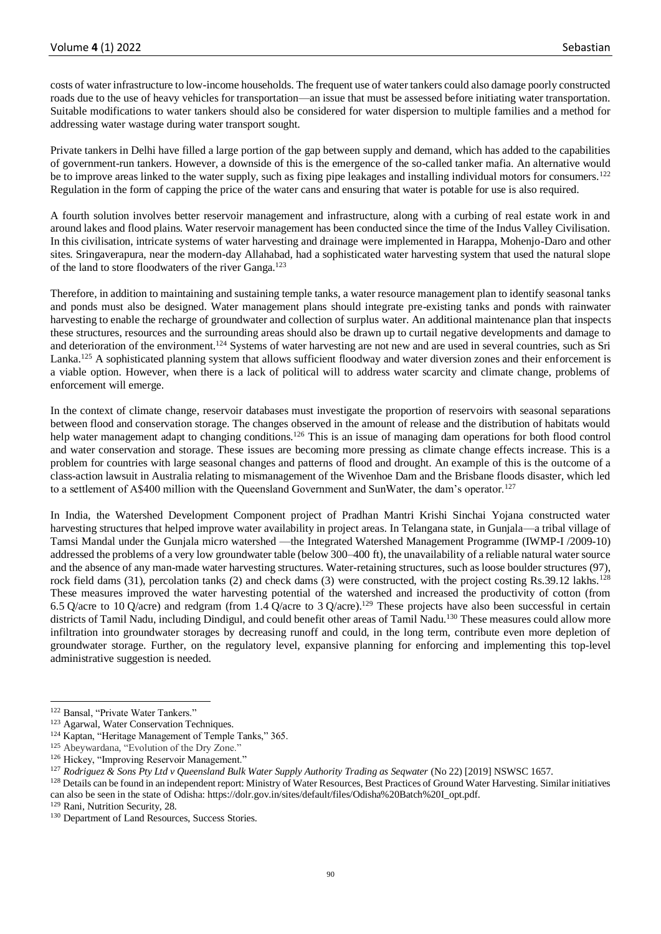costs of water infrastructure to low-income households. The frequent use of water tankers could also damage poorly constructed roads due to the use of heavy vehicles for transportation—an issue that must be assessed before initiating water transportation. Suitable modifications to water tankers should also be considered for water dispersion to multiple families and a method for addressing water wastage during water transport sought.

Private tankers in Delhi have filled a large portion of the gap between supply and demand, which has added to the capabilities of government-run tankers. However, a downside of this is the emergence of the so-called tanker mafia. An alternative would be to improve areas linked to the water supply, such as fixing pipe leakages and installing individual motors for consumers.<sup>122</sup> Regulation in the form of capping the price of the water cans and ensuring that water is potable for use is also required.

A fourth solution involves better reservoir management and infrastructure, along with a curbing of real estate work in and around lakes and flood plains. Water reservoir management has been conducted since the time of the Indus Valley Civilisation. In this civilisation, intricate systems of water harvesting and drainage were implemented in Harappa, Mohenjo-Daro and other sites. Sringaverapura, near the modern-day Allahabad, had a sophisticated water harvesting system that used the natural slope of the land to store floodwaters of the river Ganga.<sup>123</sup>

Therefore, in addition to maintaining and sustaining temple tanks, a water resource management plan to identify seasonal tanks and ponds must also be designed. Water management plans should integrate pre-existing tanks and ponds with rainwater harvesting to enable the recharge of groundwater and collection of surplus water. An additional maintenance plan that inspects these structures, resources and the surrounding areas should also be drawn up to curtail negative developments and damage to and deterioration of the environment.<sup>124</sup> Systems of water harvesting are not new and are used in several countries, such as Sri Lanka.<sup>125</sup> A sophisticated planning system that allows sufficient floodway and water diversion zones and their enforcement is a viable option. However, when there is a lack of political will to address water scarcity and climate change, problems of enforcement will emerge.

In the context of climate change, reservoir databases must investigate the proportion of reservoirs with seasonal separations between flood and conservation storage. The changes observed in the amount of release and the distribution of habitats would help water management adapt to changing conditions.<sup>126</sup> This is an issue of managing dam operations for both flood control and water conservation and storage. These issues are becoming more pressing as climate change effects increase. This is a problem for countries with large seasonal changes and patterns of flood and drought. An example of this is the outcome of a class-action lawsuit in Australia relating to mismanagement of the Wivenhoe Dam and the Brisbane floods disaster, which led to a settlement of A\$400 million with the Queensland Government and SunWater, the dam's operator.<sup>127</sup>

In India, the Watershed Development Component project of Pradhan Mantri Krishi Sinchai Yojana constructed water harvesting structures that helped improve water availability in project areas. In Telangana state, in Gunjala—a tribal village of Tamsi Mandal under the Gunjala micro watershed —the Integrated Watershed Management Programme (IWMP-I /2009-10) addressed the problems of a very low groundwater table (below 300–400 ft), the unavailability of a reliable natural water source and the absence of any man-made water harvesting structures. Water-retaining structures, such as loose boulder structures (97), rock field dams (31), percolation tanks (2) and check dams (3) were constructed, with the project costing Rs.39.12 lakhs.<sup>128</sup> These measures improved the water harvesting potential of the watershed and increased the productivity of cotton (from 6.5 Q/acre to 10 Q/acre) and redgram (from 1.4 Q/acre to 3 Q/acre).<sup>129</sup> These projects have also been successful in certain districts of Tamil Nadu, including Dindigul, and could benefit other areas of Tamil Nadu.<sup>130</sup> These measures could allow more infiltration into groundwater storages by decreasing runoff and could, in the long term, contribute even more depletion of groundwater storage. Further, on the regulatory level, expansive planning for enforcing and implementing this top-level administrative suggestion is needed.

<sup>122</sup> Bansal, "Private Water Tankers."

<sup>123</sup> Agarwal, Water Conservation Techniques.

<sup>&</sup>lt;sup>124</sup> Kaptan, "Heritage Management of Temple Tanks," 365.

<sup>125</sup> Abeywardana, "Evolution of the Dry Zone."

<sup>126</sup> Hickey, "Improving Reservoir Management."

<sup>&</sup>lt;sup>127</sup> Rodriguez & Sons Pty Ltd v Queensland Bulk Water Supply Authority Trading as Seqwater (No 22) [2019] NSWSC 1657.

<sup>&</sup>lt;sup>128</sup> Details can be found in an independent report: Ministry of Water Resources, Best Practices of Ground Water Harvesting. Similar initiatives can also be seen in the state of Odisha: https://dolr.gov.in/sites/default/files/Odisha%20Batch%20I\_opt.pdf.

<sup>129</sup> Rani, Nutrition Security, 28.

<sup>&</sup>lt;sup>130</sup> Department of Land Resources, Success Stories.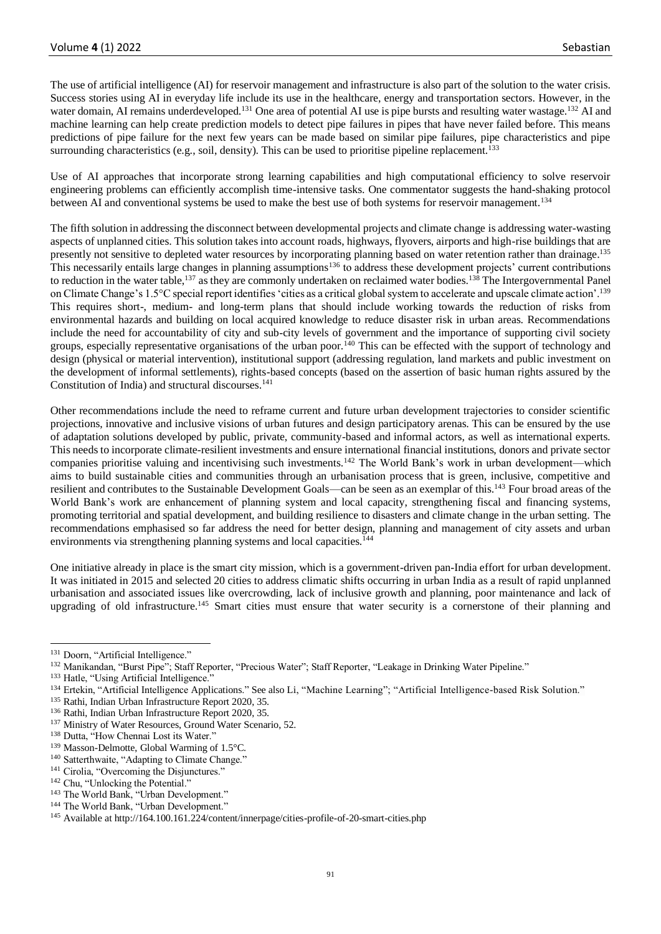The use of artificial intelligence (AI) for reservoir management and infrastructure is also part of the solution to the water crisis. Success stories using AI in everyday life include its use in the healthcare, energy and transportation sectors. However, in the water domain, AI remains underdeveloped.<sup>131</sup> One area of potential AI use is pipe bursts and resulting water wastage.<sup>132</sup> AI and machine learning can help create prediction models to detect pipe failures in pipes that have never failed before. This means predictions of pipe failure for the next few years can be made based on similar pipe failures, pipe characteristics and pipe surrounding characteristics (e.g., soil, density). This can be used to prioritise pipeline replacement.<sup>133</sup>

Use of AI approaches that incorporate strong learning capabilities and high computational efficiency to solve reservoir engineering problems can efficiently accomplish time-intensive tasks. One commentator suggests the hand-shaking protocol between AI and conventional systems be used to make the best use of both systems for reservoir management.<sup>134</sup>

The fifth solution in addressing the disconnect between developmental projects and climate change is addressing water-wasting aspects of unplanned cities. This solution takes into account roads, highways, flyovers, airports and high-rise buildings that are presently not sensitive to depleted water resources by incorporating planning based on water retention rather than drainage.<sup>135</sup> This necessarily entails large changes in planning assumptions<sup>136</sup> to address these development projects' current contributions to reduction in the water table,<sup>137</sup> as they are commonly undertaken on reclaimed water bodies.<sup>138</sup> The Intergovernmental Panel on Climate Change's 1.5°C special report identifies 'cities as a critical global system to accelerate and upscale climate action'.<sup>139</sup> This requires short-, medium- and long-term plans that should include working towards the reduction of risks from environmental hazards and building on local acquired knowledge to reduce disaster risk in urban areas. Recommendations include the need for accountability of city and sub-city levels of government and the importance of supporting civil society groups, especially representative organisations of the urban poor.<sup>140</sup> This can be effected with the support of technology and design (physical or material intervention), institutional support (addressing regulation, land markets and public investment on the development of informal settlements), rights-based concepts (based on the assertion of basic human rights assured by the Constitution of India) and structural discourses.<sup>141</sup>

Other recommendations include the need to reframe current and future urban development trajectories to consider scientific projections, innovative and inclusive visions of urban futures and design participatory arenas. This can be ensured by the use of adaptation solutions developed by public, private, community-based and informal actors, as well as international experts. This needs to incorporate climate-resilient investments and ensure international financial institutions, donors and private sector companies prioritise valuing and incentivising such investments.<sup>142</sup> The World Bank's work in urban development—which aims to build sustainable cities and communities through an urbanisation process that is green, inclusive, competitive and resilient and contributes to the Sustainable Development Goals—can be seen as an exemplar of this.<sup>143</sup> Four broad areas of the World Bank's work are enhancement of planning system and local capacity, strengthening fiscal and financing systems, promoting territorial and spatial development, and building resilience to disasters and climate change in the urban setting. The recommendations emphasised so far address the need for better design, planning and management of city assets and urban environments via strengthening planning systems and local capacities.<sup>144</sup>

One initiative already in place is the smart city mission, which is a government-driven pan-India effort for urban development. It was initiated in 2015 and selected 20 cities to address climatic shifts occurring in urban India as a result of rapid unplanned urbanisation and associated issues like overcrowding, lack of inclusive growth and planning, poor maintenance and lack of upgrading of old infrastructure.<sup>145</sup> Smart cities must ensure that water security is a cornerstone of their planning and

<sup>&</sup>lt;sup>131</sup> Doorn, "Artificial Intelligence."

<sup>132</sup> Manikandan, "Burst Pipe"; Staff Reporter, "Precious Water"; Staff Reporter, "Leakage in Drinking Water Pipeline."

<sup>&</sup>lt;sup>133</sup> Hatle, "Using Artificial Intelligence."

<sup>134</sup> Ertekin, "Artificial Intelligence Applications." See also Li, "Machine Learning"; "Artificial Intelligence-based Risk Solution."

<sup>135</sup> Rathi, Indian Urban Infrastructure Report 2020, 35.

<sup>136</sup> Rathi, Indian Urban Infrastructure Report 2020, 35.

<sup>&</sup>lt;sup>137</sup> Ministry of Water Resources, Ground Water Scenario, 52.

<sup>&</sup>lt;sup>138</sup> Dutta, "How Chennai Lost its Water."

<sup>139</sup> Masson-Delmotte, Global Warming of 1.5°C.

<sup>&</sup>lt;sup>140</sup> Satterthwaite, "Adapting to Climate Change."

<sup>&</sup>lt;sup>141</sup> Cirolia, "Overcoming the Disjunctures."

<sup>&</sup>lt;sup>142</sup> Chu, "Unlocking the Potential."

<sup>&</sup>lt;sup>143</sup> The World Bank, "Urban Development."

<sup>&</sup>lt;sup>144</sup> The World Bank, "Urban Development."

<sup>&</sup>lt;sup>145</sup> Available at http://164.100.161.224/content/innerpage/cities-profile-of-20-smart-cities.php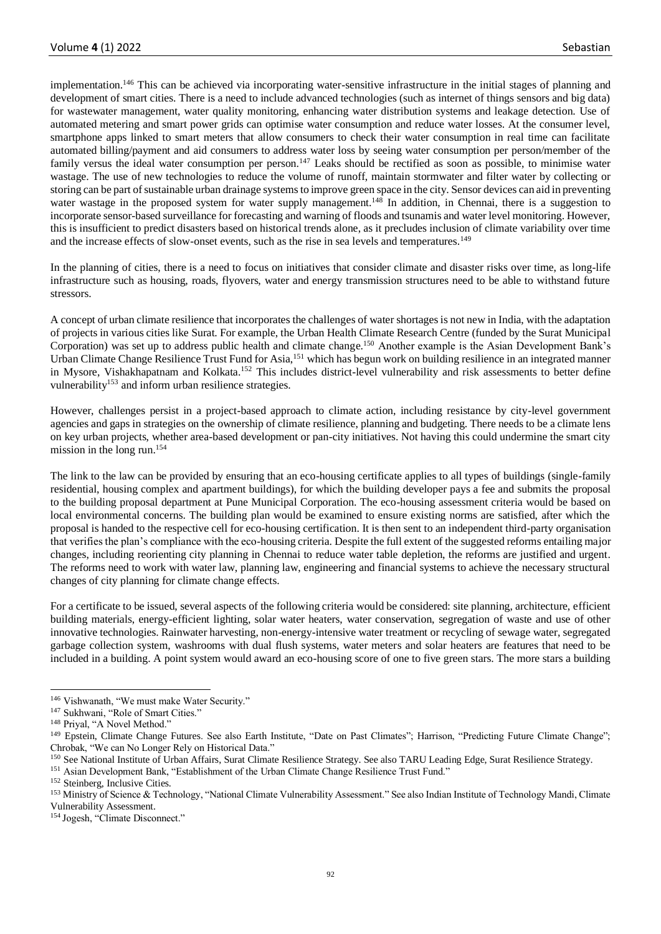implementation.<sup>146</sup> This can be achieved via incorporating water-sensitive infrastructure in the initial stages of planning and development of smart cities. There is a need to include advanced technologies (such as internet of things sensors and big data) for wastewater management, water quality monitoring, enhancing water distribution systems and leakage detection. Use of automated metering and smart power grids can optimise water consumption and reduce water losses. At the consumer level, smartphone apps linked to smart meters that allow consumers to check their water consumption in real time can facilitate automated billing/payment and aid consumers to address water loss by seeing water consumption per person/member of the family versus the ideal water consumption per person.<sup>147</sup> Leaks should be rectified as soon as possible, to minimise water wastage. The use of new technologies to reduce the volume of runoff, maintain stormwater and filter water by collecting or storing can be part of sustainable urban drainage systems to improve green space in the city. Sensor devices can aid in preventing water wastage in the proposed system for water supply management.<sup>148</sup> In addition, in Chennai, there is a suggestion to incorporate sensor-based surveillance for forecasting and warning of floods and tsunamis and water level monitoring. However, this is insufficient to predict disasters based on historical trends alone, as it precludes inclusion of climate variability over time and the increase effects of slow-onset events, such as the rise in sea levels and temperatures.<sup>149</sup>

In the planning of cities, there is a need to focus on initiatives that consider climate and disaster risks over time, as long-life infrastructure such as housing, roads, flyovers, water and energy transmission structures need to be able to withstand future stressors.

A concept of urban climate resilience that incorporates the challenges of water shortages is not new in India, with the adaptation of projects in various cities like Surat. For example, the Urban Health Climate Research Centre (funded by the Surat Municipal Corporation) was set up to address public health and climate change.<sup>150</sup> Another example is the Asian Development Bank's Urban Climate Change Resilience Trust Fund for Asia,<sup>151</sup> which has begun work on building resilience in an integrated manner in Mysore, Vishakhapatnam and Kolkata.<sup>152</sup> This includes district-level vulnerability and risk assessments to better define vulnerability<sup>153</sup> and inform urban resilience strategies.

However, challenges persist in a project-based approach to climate action, including resistance by city-level government agencies and gaps in strategies on the ownership of climate resilience, planning and budgeting. There needs to be a climate lens on key urban projects, whether area-based development or pan-city initiatives. Not having this could undermine the smart city mission in the long run.<sup>154</sup>

The link to the law can be provided by ensuring that an eco-housing certificate applies to all types of buildings (single-family residential, housing complex and apartment buildings), for which the building developer pays a fee and submits the proposal to the building proposal department at Pune Municipal Corporation. The eco-housing assessment criteria would be based on local environmental concerns. The building plan would be examined to ensure existing norms are satisfied, after which the proposal is handed to the respective cell for eco-housing certification. It is then sent to an independent third-party organisation that verifies the plan's compliance with the eco-housing criteria. Despite the full extent of the suggested reforms entailing major changes, including reorienting city planning in Chennai to reduce water table depletion, the reforms are justified and urgent. The reforms need to work with water law, planning law, engineering and financial systems to achieve the necessary structural changes of city planning for climate change effects.

For a certificate to be issued, several aspects of the following criteria would be considered: site planning, architecture, efficient building materials, energy-efficient lighting, solar water heaters, water conservation, segregation of waste and use of other innovative technologies. Rainwater harvesting, non-energy-intensive water treatment or recycling of sewage water, segregated garbage collection system, washrooms with dual flush systems, water meters and solar heaters are features that need to be included in a building. A point system would award an eco-housing score of one to five green stars. The more stars a building

<sup>&</sup>lt;sup>146</sup> Vishwanath, "We must make Water Security."

<sup>&</sup>lt;sup>147</sup> Sukhwani, "Role of Smart Cities."

<sup>148</sup> Priyal, "A Novel Method."

<sup>&</sup>lt;sup>149</sup> Epstein, Climate Change Futures. See also Earth Institute, "Date on Past Climates"; Harrison, "Predicting Future Climate Change"; Chrobak, "We can No Longer Rely on Historical Data."

<sup>150</sup> See National Institute of Urban Affairs, Surat Climate Resilience Strategy. See also TARU Leading Edge, Surat Resilience Strategy.

<sup>151</sup> Asian Development Bank, "Establishment of the Urban Climate Change Resilience Trust Fund."

<sup>152</sup> Steinberg, Inclusive Cities.

<sup>&</sup>lt;sup>153</sup> Ministry of Science & Technology, "National Climate Vulnerability Assessment." See also Indian Institute of Technology Mandi, Climate Vulnerability Assessment.

<sup>154</sup> Jogesh, "Climate Disconnect."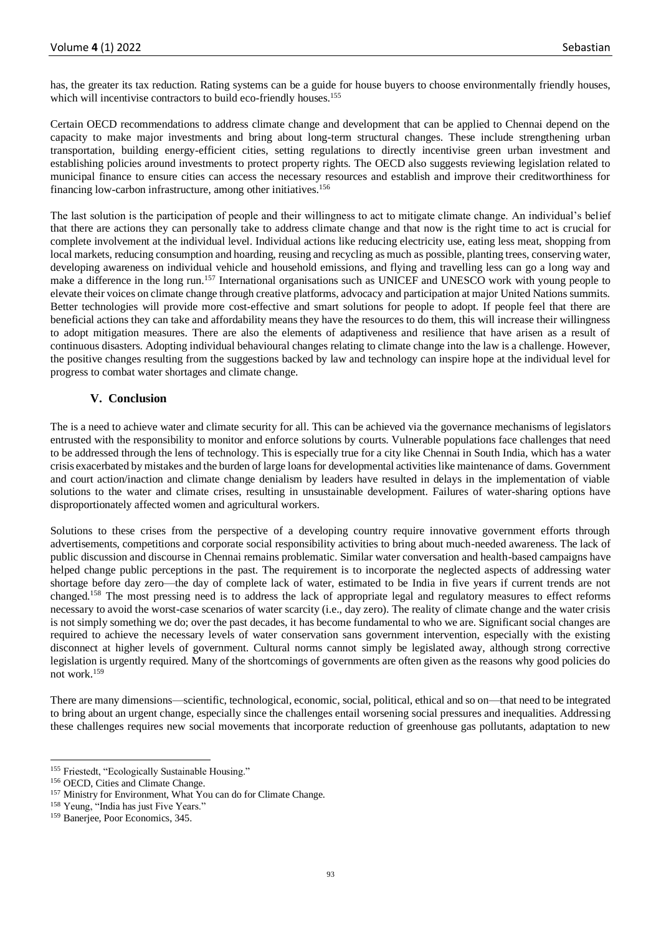has, the greater its tax reduction. Rating systems can be a guide for house buyers to choose environmentally friendly houses, which will incentivise contractors to build eco-friendly houses.<sup>155</sup>

Certain OECD recommendations to address climate change and development that can be applied to Chennai depend on the capacity to make major investments and bring about long-term structural changes. These include strengthening urban transportation, building energy-efficient cities, setting regulations to directly incentivise green urban investment and establishing policies around investments to protect property rights. The OECD also suggests reviewing legislation related to municipal finance to ensure cities can access the necessary resources and establish and improve their creditworthiness for financing low-carbon infrastructure, among other initiatives.<sup>156</sup>

The last solution is the participation of people and their willingness to act to mitigate climate change. An individual's belief that there are actions they can personally take to address climate change and that now is the right time to act is crucial for complete involvement at the individual level. Individual actions like reducing electricity use, eating less meat, shopping from local markets, reducing consumption and hoarding, reusing and recycling as much as possible, planting trees, conserving water, developing awareness on individual vehicle and household emissions, and flying and travelling less can go a long way and make a difference in the long run.<sup>157</sup> International organisations such as UNICEF and UNESCO work with young people to elevate their voices on climate change through creative platforms, advocacy and participation at major United Nations summits. Better technologies will provide more cost-effective and smart solutions for people to adopt. If people feel that there are beneficial actions they can take and affordability means they have the resources to do them, this will increase their willingness to adopt mitigation measures. There are also the elements of adaptiveness and resilience that have arisen as a result of continuous disasters. Adopting individual behavioural changes relating to climate change into the law is a challenge. However, the positive changes resulting from the suggestions backed by law and technology can inspire hope at the individual level for progress to combat water shortages and climate change.

# **V. Conclusion**

The is a need to achieve water and climate security for all. This can be achieved via the governance mechanisms of legislators entrusted with the responsibility to monitor and enforce solutions by courts. Vulnerable populations face challenges that need to be addressed through the lens of technology. This is especially true for a city like Chennai in South India, which has a water crisis exacerbated by mistakes and the burden of large loans for developmental activities like maintenance of dams. Government and court action/inaction and climate change denialism by leaders have resulted in delays in the implementation of viable solutions to the water and climate crises, resulting in unsustainable development. Failures of water-sharing options have disproportionately affected women and agricultural workers.

Solutions to these crises from the perspective of a developing country require innovative government efforts through advertisements, competitions and corporate social responsibility activities to bring about much-needed awareness. The lack of public discussion and discourse in Chennai remains problematic. Similar water conversation and health-based campaigns have helped change public perceptions in the past. The requirement is to incorporate the neglected aspects of addressing water shortage before day zero—the day of complete lack of water, estimated to be India in five years if current trends are not changed.<sup>158</sup> The most pressing need is to address the lack of appropriate legal and regulatory measures to effect reforms necessary to avoid the worst-case scenarios of water scarcity (i.e., day zero). The reality of climate change and the water crisis is not simply something we do; over the past decades, it has become fundamental to who we are. Significant social changes are required to achieve the necessary levels of water conservation sans government intervention, especially with the existing disconnect at higher levels of government. Cultural norms cannot simply be legislated away, although strong corrective legislation is urgently required. Many of the shortcomings of governments are often given as the reasons why good policies do not work.<sup>159</sup>

There are many dimensions—scientific, technological, economic, social, political, ethical and so on—that need to be integrated to bring about an urgent change, especially since the challenges entail worsening social pressures and inequalities. Addressing these challenges requires new social movements that incorporate reduction of greenhouse gas pollutants, adaptation to new

<sup>&</sup>lt;sup>155</sup> Friestedt, "Ecologically Sustainable Housing."

<sup>156</sup> OECD, Cities and Climate Change.

<sup>&</sup>lt;sup>157</sup> Ministry for Environment, What You can do for Climate Change.

<sup>&</sup>lt;sup>158</sup> Yeung, "India has just Five Years."

<sup>159</sup> Banerjee, Poor Economics, 345.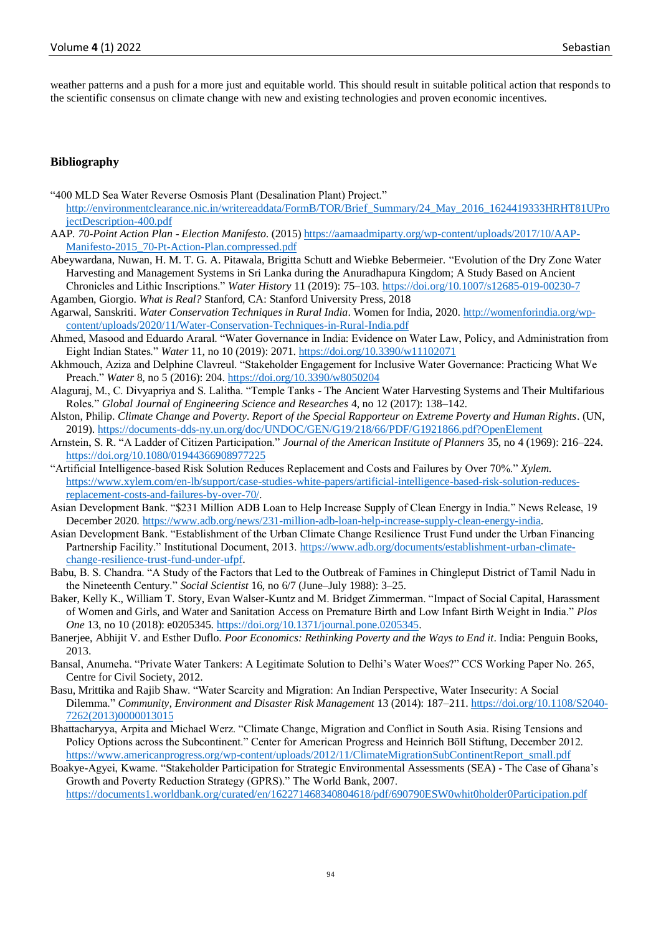weather patterns and a push for a more just and equitable world. This should result in suitable political action that responds to the scientific consensus on climate change with new and existing technologies and proven economic incentives.

### **Bibliography**

- "400 MLD Sea Water Reverse Osmosis Plant (Desalination Plant) Project."
- [http://environmentclearance.nic.in/writereaddata/FormB/TOR/Brief\\_Summary/24\\_May\\_2016\\_1624419333HRHT81UPro](http://environmentclearance.nic.in/writereaddata/FormB/TOR/Brief_Summary/24_May_2016_1624419333HRHT81UProjectDescription-400.pdf) [jectDescription-400.pdf](http://environmentclearance.nic.in/writereaddata/FormB/TOR/Brief_Summary/24_May_2016_1624419333HRHT81UProjectDescription-400.pdf)
- AAP*. 70-Point Action Plan - Election Manifesto*. (2015[\) https://aamaadmiparty.org/wp-content/uploads/2017/10/AAP-](https://aamaadmiparty.org/wp-content/uploads/2017/10/AAP-Manifesto-2015_70-Pt-Action-Plan.compressed.pdf)[Manifesto-2015\\_70-Pt-Action-Plan.compressed.pdf](https://aamaadmiparty.org/wp-content/uploads/2017/10/AAP-Manifesto-2015_70-Pt-Action-Plan.compressed.pdf)
- Abeywardana, Nuwan, H. M. T. G. A. Pitawala, Brigitta Schutt and Wiebke Bebermeier. "Evolution of the Dry Zone Water Harvesting and Management Systems in Sri Lanka during the Anuradhapura Kingdom; A Study Based on Ancient Chronicles and Lithic Inscriptions." *Water History* 11 (2019): 75–103.<https://doi.org/10.1007/s12685-019-00230-7>
- Agamben, Giorgio. *What is Real?* Stanford, CA: Stanford University Press, 2018
- Agarwal, Sanskriti. *Water Conservation Techniques in Rural India*. Women for India, 2020. [http://womenforindia.org/wp](http://womenforindia.org/wp-content/uploads/2020/11/Water-Conservation-Techniques-in-Rural-India.pdf)[content/uploads/2020/11/Water-Conservation-Techniques-in-Rural-India.pdf](http://womenforindia.org/wp-content/uploads/2020/11/Water-Conservation-Techniques-in-Rural-India.pdf)
- Ahmed, Masood and Eduardo Araral. "Water Governance in India: Evidence on Water Law, Policy, and Administration from Eight Indian States." *Water* 11, no 10 (2019): 2071.<https://doi.org/10.3390/w11102071>
- Akhmouch, Aziza and Delphine Clavreul. "Stakeholder Engagement for Inclusive Water Governance: Practicing What We Preach." *Water* 8, no 5 (2016): 204.<https://doi.org/10.3390/w8050204>
- Alaguraj, M., C. Divyapriya and S. Lalitha. "Temple Tanks The Ancient Water Harvesting Systems and Their Multifarious Roles." *Global Journal of Engineering Science and Researches* 4, no 12 (2017): 138–142.
- Alston, Philip. *Climate Change and Poverty. Report of the Special Rapporteur on Extreme Poverty and Human Rights*. (UN, 2019).<https://documents-dds-ny.un.org/doc/UNDOC/GEN/G19/218/66/PDF/G1921866.pdf?OpenElement>
- Arnstein, S. R. "A Ladder of Citizen Participation." *Journal of the American Institute of Planners* 35, no 4 (1969): 216–224. <https://doi.org/10.1080/01944366908977225>
- "Artificial Intelligence-based Risk Solution Reduces Replacement and Costs and Failures by Over 70%." *Xylem*. [https://www.xylem.com/en-lb/support/case-studies-white-papers/artificial-intelligence-based-risk-solution-reduces](https://www.xylem.com/en-lb/support/case-studies-white-papers/artificial-intelligence-based-risk-solution-reduces-replacement-costs-and-failures-by-over-70/)[replacement-costs-and-failures-by-over-70/.](https://www.xylem.com/en-lb/support/case-studies-white-papers/artificial-intelligence-based-risk-solution-reduces-replacement-costs-and-failures-by-over-70/)
- Asian Development Bank. "\$231 Million ADB Loan to Help Increase Supply of Clean Energy in India." News Release, 19 December 2020. [https://www.adb.org/news/231-million-adb-loan-help-increase-supply-clean-energy-india.](https://www.adb.org/news/231-million-adb-loan-help-increase-supply-clean-energy-india)
- Asian Development Bank. "Establishment of the Urban Climate Change Resilience Trust Fund under the Urban Financing Partnership Facility." Institutional Document, 2013. [https://www.adb.org/documents/establishment-urban-climate](https://www.adb.org/documents/establishment-urban-climate-change-resilience-trust-fund-under-ufpf)[change-resilience-trust-fund-under-ufpf.](https://www.adb.org/documents/establishment-urban-climate-change-resilience-trust-fund-under-ufpf)
- Babu, B. S. Chandra. "A Study of the Factors that Led to the Outbreak of Famines in Chingleput District of Tamil Nadu in the Nineteenth Century." *Social Scientist* 16, no 6/7 (June–July 1988): 3–25.
- Baker, Kelly K., William T. Story, Evan Walser-Kuntz and M. Bridget Zimmerman. "Impact of Social Capital, Harassment of Women and Girls, and Water and Sanitation Access on Premature Birth and Low Infant Birth Weight in India." *Plos One* 13, no 10 (2018): e0205345. [https://doi.org/10.1371/journal.pone.0205345.](https://doi.org/10.1371/journal.pone.0205345)
- Banerjee, Abhijit V. and Esther Duflo. *Poor Economics: Rethinking Poverty and the Ways to End it*. India: Penguin Books, 2013.
- Bansal, Anumeha. "Private Water Tankers: A Legitimate Solution to Delhi's Water Woes?" CCS Working Paper No. 265, Centre for Civil Society, 2012.
- Basu, Mrittika and Rajib Shaw. "Water Scarcity and Migration: An Indian Perspective, Water Insecurity: A Social Dilemma." *Community, Environment and Disaster Risk Management* 13 (2014): 187–211. [https://doi.org/10.1108/S2040-](https://doi.org/10.1108/S2040-7262(2013)0000013015) [7262\(2013\)0000013015](https://doi.org/10.1108/S2040-7262(2013)0000013015)
- Bhattacharyya, Arpita and Michael Werz. "Climate Change, Migration and Conflict in South Asia. Rising Tensions and Policy Options across the Subcontinent." Center for American Progress and Heinrich Böll Stiftung, December 2012. [https://www.americanprogress.org/wp-content/uploads/2012/11/ClimateMigrationSubContinentReport\\_small.pdf](https://www.americanprogress.org/wp-content/uploads/2012/11/ClimateMigrationSubContinentReport_small.pdf)
- Boakye-Agyei, Kwame. "Stakeholder Participation for Strategic Environmental Assessments (SEA) The Case of Ghana's Growth and Poverty Reduction Strategy (GPRS)." The World Bank, 2007. <https://documents1.worldbank.org/curated/en/162271468340804618/pdf/690790ESW0whit0holder0Participation.pdf>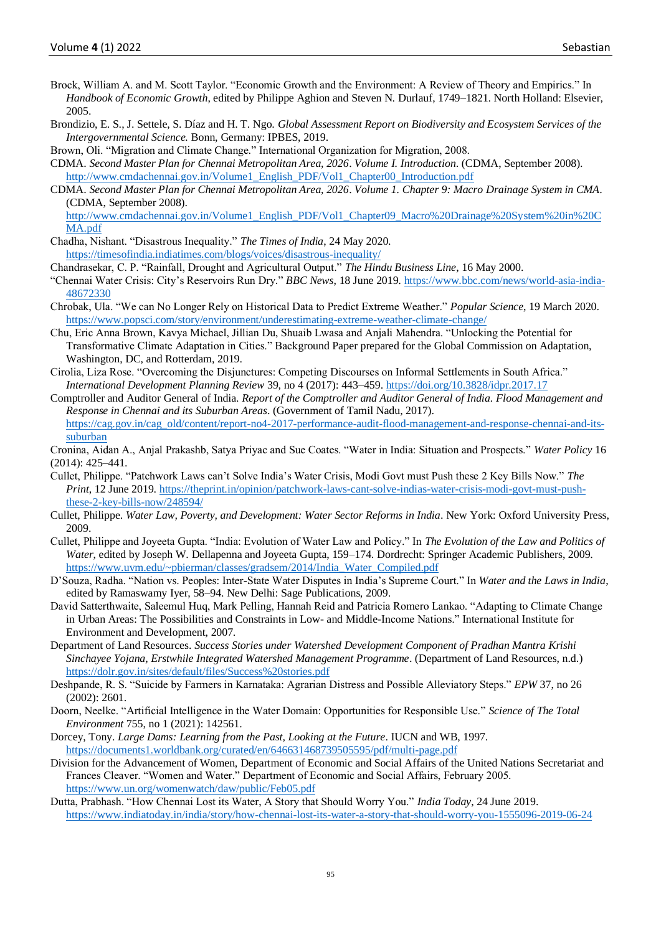- Brock, William A. and M. Scott Taylor. "Economic Growth and the Environment: A Review of Theory and Empirics." In *Handbook of Economic Growth*, edited by Philippe Aghion and Steven N. Durlauf, 1749–1821. North Holland: Elsevier, 2005.
- Brondizio, E. S., J. Settele, S. Díaz and H. T. Ngo. *Global Assessment Report on Biodiversity and Ecosystem Services of the Intergovernmental Science.* Bonn, Germany: IPBES, 2019.
- Brown, Oli. "Migration and Climate Change." International Organization for Migration, 2008.
- CDMA. *Second Master Plan for Chennai Metropolitan Area, 2026*. *Volume I. Introduction*. (CDMA, September 2008). [http://www.cmdachennai.gov.in/Volume1\\_English\\_PDF/Vol1\\_Chapter00\\_Introduction.pdf](http://www.cmdachennai.gov.in/Volume1_English_PDF/Vol1_Chapter00_Introduction.pdf)
- CDMA. *Second Master Plan for Chennai Metropolitan Area, 2026*. *Volume 1. Chapter 9: Macro Drainage System in CMA*. (CDMA, September 2008).

[http://www.cmdachennai.gov.in/Volume1\\_English\\_PDF/Vol1\\_Chapter09\\_Macro%20Drainage%20System%20in%20C](http://www.cmdachennai.gov.in/Volume1_English_PDF/Vol1_Chapter09_Macro%20Drainage%20System%20in%20CMA.pdf) [MA.pdf](http://www.cmdachennai.gov.in/Volume1_English_PDF/Vol1_Chapter09_Macro%20Drainage%20System%20in%20CMA.pdf)

- Chadha, Nishant. "Disastrous Inequality." *The Times of India*, 24 May 2020. <https://timesofindia.indiatimes.com/blogs/voices/disastrous-inequality/>
- Chandrasekar, C. P. "Rainfall, Drought and Agricultural Output." *The Hindu Business Line*, 16 May 2000.
- "Chennai Water Crisis: City's Reservoirs Run Dry." *BBC News*, 18 June 2019. [https://www.bbc.com/news/world-asia-india-](https://www.bbc.com/news/world-asia-india-48672330)[48672330](https://www.bbc.com/news/world-asia-india-48672330)
- Chrobak, Ula. "We can No Longer Rely on Historical Data to Predict Extreme Weather." *Popular Science*, 19 March 2020. <https://www.popsci.com/story/environment/underestimating-extreme-weather-climate-change/>
- Chu, Eric Anna Brown, Kavya Michael, Jillian Du, Shuaib Lwasa and Anjali Mahendra. "Unlocking the Potential for Transformative Climate Adaptation in Cities." Background Paper prepared for the Global Commission on Adaptation, Washington, DC, and Rotterdam, 2019.
- Cirolia, Liza Rose. "Overcoming the Disjunctures: Competing Discourses on Informal Settlements in South Africa." *International Development Planning Review* 39, no 4 (2017): 443–459[. https://doi.org/10.3828/idpr.2017.17](https://doi.org/10.3828/idpr.2017.17)
- Comptroller and Auditor General of India. *Report of the Comptroller and Auditor General of India. Flood Management and Response in Chennai and its Suburban Areas*. (Government of Tamil Nadu, 2017). [https://cag.gov.in/cag\\_old/content/report-no4-2017-performance-audit-flood-management-and-response-chennai-and-its](https://cag.gov.in/cag_old/content/report-no4-2017-performance-audit-flood-management-and-response-chennai-and-its-suburban)[suburban](https://cag.gov.in/cag_old/content/report-no4-2017-performance-audit-flood-management-and-response-chennai-and-its-suburban)
- Cronina, Aidan A., Anjal Prakashb, Satya Priyac and Sue Coates. "Water in India: Situation and Prospects." *Water Policy* 16 (2014): 425–441.
- Cullet, Philippe. "Patchwork Laws can't Solve India's Water Crisis, Modi Govt must Push these 2 Key Bills Now." *The Print*, 12 June 2019. [https://theprint.in/opinion/patchwork-laws-cant-solve-indias-water-crisis-modi-govt-must-push](https://theprint.in/opinion/patchwork-laws-cant-solve-indias-water-crisis-modi-govt-must-push-these-2-key-bills-now/248594/)[these-2-key-bills-now/248594/](https://theprint.in/opinion/patchwork-laws-cant-solve-indias-water-crisis-modi-govt-must-push-these-2-key-bills-now/248594/)
- Cullet, Philippe. *Water Law, Poverty, and Development: Water Sector Reforms in India*. New York: Oxford University Press, 2009.
- Cullet, Philippe and Joyeeta Gupta. "India: Evolution of Water Law and Policy." In *The Evolution of the Law and Politics of Water*, edited by Joseph W. Dellapenna and Joyeeta Gupta, 159–174. Dordrecht: Springer Academic Publishers, 2009. [https://www.uvm.edu/~pbierman/classes/gradsem/2014/India\\_Water\\_Compiled.pdf](https://www.uvm.edu/~pbierman/classes/gradsem/2014/India_Water_Compiled.pdf)
- D'Souza, Radha. "Nation vs. Peoples: Inter-State Water Disputes in India's Supreme Court." In *Water and the Laws in India*, edited by Ramaswamy Iyer, 58–94. New Delhi: Sage Publications, 2009.
- David Satterthwaite, Saleemul Huq, Mark Pelling, Hannah Reid and Patricia Romero Lankao. "Adapting to Climate Change in Urban Areas: The Possibilities and Constraints in Low- and Middle-Income Nations." International Institute for Environment and Development, 2007.
- Department of Land Resources. *Success Stories under Watershed Development Component of Pradhan Mantra Krishi Sinchayee Yojana, Erstwhile Integrated Watershed Management Programme*. (Department of Land Resources, n.d.) <https://dolr.gov.in/sites/default/files/Success%20stories.pdf>
- Deshpande, R. S. "Suicide by Farmers in Karnataka: Agrarian Distress and Possible Alleviatory Steps." *EPW* 37, no 26 (2002): 2601.
- Doorn, Neelke. "Artificial Intelligence in the Water Domain: Opportunities for Responsible Use." *Science of The Total Environment* 755, no 1 (2021): 142561.
- Dorcey, Tony. *Large Dams: Learning from the Past, Looking at the Future*. IUCN and WB, 1997. <https://documents1.worldbank.org/curated/en/646631468739505595/pdf/multi-page.pdf>
- Division for the Advancement of Women, Department of Economic and Social Affairs of the United Nations Secretariat and Frances Cleaver. "Women and Water." Department of Economic and Social Affairs, February 2005. <https://www.un.org/womenwatch/daw/public/Feb05.pdf>
- Dutta, Prabhash. "How Chennai Lost its Water, A Story that Should Worry You." *India Today*, 24 June 2019. <https://www.indiatoday.in/india/story/how-chennai-lost-its-water-a-story-that-should-worry-you-1555096-2019-06-24>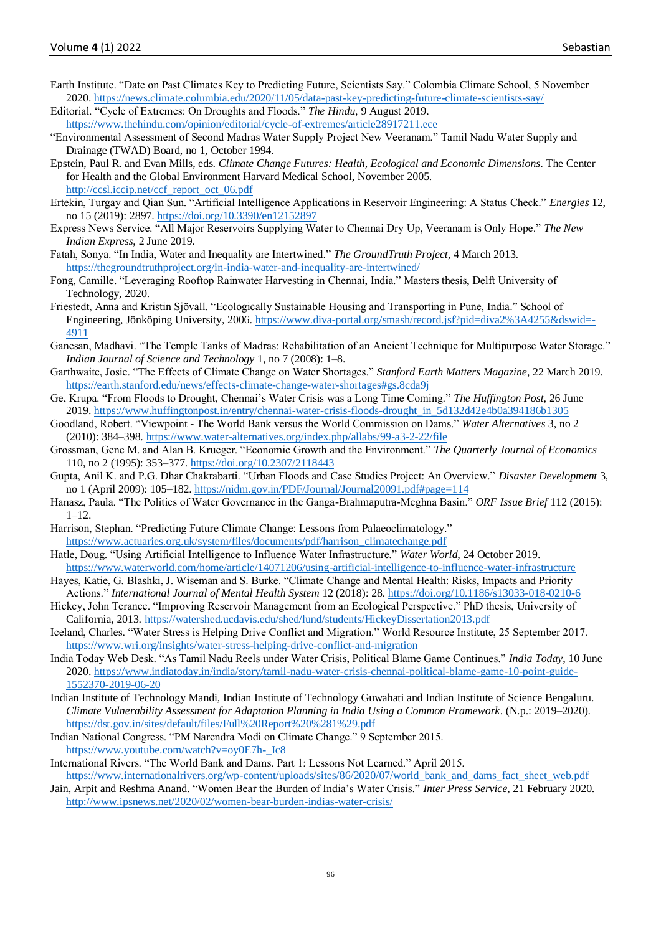- Earth Institute. "Date on Past Climates Key to Predicting Future, Scientists Say." Colombia Climate School, 5 November 2020[. https://news.climate.columbia.edu/2020/11/05/data-past-key-predicting-future-climate-scientists-say/](https://news.climate.columbia.edu/2020/11/05/data-past-key-predicting-future-climate-scientists-say/)
- Editorial. "Cycle of Extremes: On Droughts and Floods." *The Hindu*, 9 August 2019. <https://www.thehindu.com/opinion/editorial/cycle-of-extremes/article28917211.ece>
- "Environmental Assessment of Second Madras Water Supply Project New Veeranam." Tamil Nadu Water Supply and Drainage (TWAD) Board, no 1, October 1994.
- Epstein, Paul R. and Evan Mills, eds. *Climate Change Futures: Health, Ecological and Economic Dimensions*. The Center for Health and the Global Environment Harvard Medical School, November 2005. [http://ccsl.iccip.net/ccf\\_report\\_oct\\_06.pdf](http://ccsl.iccip.net/ccf_report_oct_06.pdf)
- Ertekin, Turgay and Qian Sun. "Artificial Intelligence Applications in Reservoir Engineering: A Status Check." *Energies* 12, no 15 (2019): 2897[. https://doi.org/10.3390/en12152897](https://doi.org/10.3390/en12152897)
- Express News Service. "All Major Reservoirs Supplying Water to Chennai Dry Up, Veeranam is Only Hope." *The New Indian Express*, 2 June 2019.
- Fatah, Sonya. "In India, Water and Inequality are Intertwined." *The GroundTruth Project*, 4 March 2013. <https://thegroundtruthproject.org/in-india-water-and-inequality-are-intertwined/>
- Fong, Camille. "Leveraging Rooftop Rainwater Harvesting in Chennai, India." Masters thesis, Delft University of Technology, 2020.
- Friestedt, Anna and Kristin Sjövall. "Ecologically Sustainable Housing and Transporting in Pune, India." School of Engineering, Jönköping University, 2006. [https://www.diva-portal.org/smash/record.jsf?pid=diva2%3A4255&dswid=-](https://www.diva-portal.org/smash/record.jsf?pid=diva2%3A4255&dswid=-4911) [4911](https://www.diva-portal.org/smash/record.jsf?pid=diva2%3A4255&dswid=-4911)
- Ganesan, Madhavi. "The Temple Tanks of Madras: Rehabilitation of an Ancient Technique for Multipurpose Water Storage." *Indian Journal of Science and Technology* 1, no 7 (2008): 1–8.
- Garthwaite, Josie. "The Effects of Climate Change on Water Shortages." *Stanford Earth Matters Magazine*, 22 March 2019. <https://earth.stanford.edu/news/effects-climate-change-water-shortages#gs.8cda9j>
- Ge, Krupa. "From Floods to Drought, Chennai's Water Crisis was a Long Time Coming." *The Huffington Post*, 26 June 2019[. https://www.huffingtonpost.in/entry/chennai-water-crisis-floods-drought\\_in\\_5d132d42e4b0a394186b1305](https://www.huffingtonpost.in/entry/chennai-water-crisis-floods-drought_in_5d132d42e4b0a394186b1305)
- Goodland, Robert. "Viewpoint The World Bank versus the World Commission on Dams." *Water Alternatives* 3, no 2 (2010): 384–398[. https://www.water-alternatives.org/index.php/allabs/99-a3-2-22/file](https://www.water-alternatives.org/index.php/allabs/99-a3-2-22/file)
- Grossman, Gene M. and Alan B. Krueger. "Economic Growth and the Environment." *The Quarterly Journal of Economics* 110, no 2 (1995): 353–377. <https://doi.org/10.2307/2118443>
- Gupta, Anil K. and P.G. Dhar Chakrabarti. "Urban Floods and Case Studies Project: An Overview." *Disaster Development* 3, no 1 (April 2009): 105–182.<https://nidm.gov.in/PDF/Journal/Journal20091.pdf#page=114>
- Hanasz, Paula. "The Politics of Water Governance in the Ganga-Brahmaputra-Meghna Basin." *ORF Issue Brief* 112 (2015): 1–12.
- Harrison, Stephan. "Predicting Future Climate Change: Lessons from Palaeoclimatology." [https://www.actuaries.org.uk/system/files/documents/pdf/harrison\\_climatechange.pdf](https://www.actuaries.org.uk/system/files/documents/pdf/harrison_climatechange.pdf)
- Hatle, Doug. "Using Artificial Intelligence to Influence Water Infrastructure." *Water World*, 24 October 2019. <https://www.waterworld.com/home/article/14071206/using-artificial-intelligence-to-influence-water-infrastructure>
- Hayes, Katie, G. Blashki, J. Wiseman and S. Burke. "Climate Change and Mental Health: Risks, Impacts and Priority Actions." *International Journal of Mental Health System* 12 (2018): 28[. https://doi.org/10.1186/s13033-018-0210-6](https://doi.org/10.1186/s13033-018-0210-6)
- Hickey, John Terance. "Improving Reservoir Management from an Ecological Perspective." PhD thesis, University of California, 2013.<https://watershed.ucdavis.edu/shed/lund/students/HickeyDissertation2013.pdf>
- Iceland, Charles. "Water Stress is Helping Drive Conflict and Migration." World Resource Institute, 25 September 2017. <https://www.wri.org/insights/water-stress-helping-drive-conflict-and-migration>
- India Today Web Desk. "As Tamil Nadu Reels under Water Crisis, Political Blame Game Continues." *India Today*, 10 June 2020[. https://www.indiatoday.in/india/story/tamil-nadu-water-crisis-chennai-political-blame-game-10-point-guide-](https://www.indiatoday.in/india/story/tamil-nadu-water-crisis-chennai-political-blame-game-10-point-guide-1552370-2019-06-20)[1552370-2019-06-20](https://www.indiatoday.in/india/story/tamil-nadu-water-crisis-chennai-political-blame-game-10-point-guide-1552370-2019-06-20)
- Indian Institute of Technology Mandi, Indian Institute of Technology Guwahati and Indian Institute of Science Bengaluru. *Climate Vulnerability Assessment for Adaptation Planning in India Using a Common Framework*. (N.p.: 2019–2020). [https://dst.gov.in/sites/default/files/Full%20Report%20%281%29.pdf](https://dst.gov.in/sites/default/files/Full%20Report%20(1).pdf)
- Indian National Congress. "PM Narendra Modi on Climate Change." 9 September 2015. [https://www.youtube.com/watch?v=oy0E7h-\\_Ic8](https://www.youtube.com/watch?v=oy0E7h-_Ic8)
- International Rivers. "The World Bank and Dams. Part 1: Lessons Not Learned." April 2015. [https://www.internationalrivers.org/wp-content/uploads/sites/86/2020/07/world\\_bank\\_and\\_dams\\_fact\\_sheet\\_web.pdf](https://www.internationalrivers.org/wp-content/uploads/sites/86/2020/07/world_bank_and_dams_fact_sheet_web.pdf)
- Jain, Arpit and Reshma Anand. "Women Bear the Burden of India's Water Crisis." *Inter Press Service*, 21 February 2020. <http://www.ipsnews.net/2020/02/women-bear-burden-indias-water-crisis/>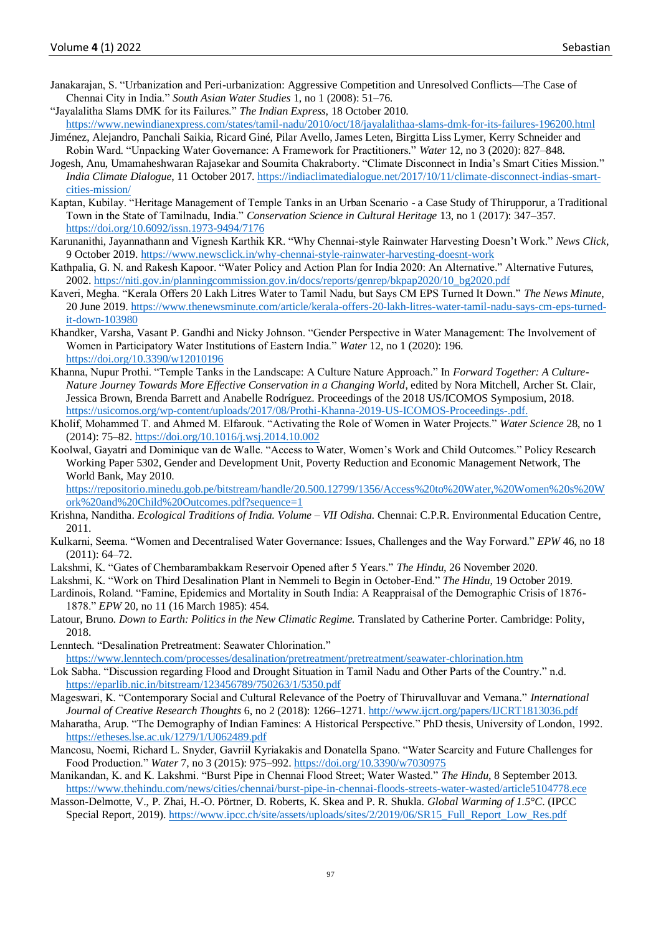- Janakarajan, S. "Urbanization and Peri-urbanization: Aggressive Competition and Unresolved Conflicts—The Case of Chennai City in India." *South Asian Water Studies* 1, no 1 (2008): 51–76.
- "Jayalalitha Slams DMK for its Failures." *The Indian Express*, 18 October 2010.

<https://www.newindianexpress.com/states/tamil-nadu/2010/oct/18/jayalalithaa-slams-dmk-for-its-failures-196200.html>

- Jiménez, Alejandro, Panchali Saikia, Ricard Giné, Pilar Avello, James Leten, Birgitta Liss Lymer, Kerry Schneider and Robin Ward. "Unpacking Water Governance: A Framework for Practitioners." *Water* 12, no 3 (2020): 827–848.
- Jogesh, Anu, Umamaheshwaran Rajasekar and Soumita Chakraborty. "Climate Disconnect in India's Smart Cities Mission." *India Climate Dialogue*, 11 October 2017. [https://indiaclimatedialogue.net/2017/10/11/climate-disconnect-indias-smart](https://indiaclimatedialogue.net/2017/10/11/climate-disconnect-indias-smart-cities-mission/)[cities-mission/](https://indiaclimatedialogue.net/2017/10/11/climate-disconnect-indias-smart-cities-mission/)
- Kaptan, Kubilay. "Heritage Management of Temple Tanks in an Urban Scenario a Case Study of Thirupporur, a Traditional Town in the State of Tamilnadu, India." *Conservation Science in Cultural Heritage* 13, no 1 (2017): 347–357. <https://doi.org/10.6092/issn.1973-9494/7176>
- Karunanithi, Jayannathann and Vignesh Karthik KR. "Why Chennai-style Rainwater Harvesting Doesn't Work." *News Click*, 9 October 2019.<https://www.newsclick.in/why-chennai-style-rainwater-harvesting-doesnt-work>
- Kathpalia, G. N. and Rakesh Kapoor. "Water Policy and Action Plan for India 2020: An Alternative." Alternative Futures, 2002[. https://niti.gov.in/planningcommission.gov.in/docs/reports/genrep/bkpap2020/10\\_bg2020.pdf](https://niti.gov.in/planningcommission.gov.in/docs/reports/genrep/bkpap2020/10_bg2020.pdf)
- Kaveri, Megha. "Kerala Offers 20 Lakh Litres Water to Tamil Nadu, but Says CM EPS Turned It Down." *The News Minute*, 20 June 2019. [https://www.thenewsminute.com/article/kerala-offers-20-lakh-litres-water-tamil-nadu-says-cm-eps-turned](https://www.thenewsminute.com/article/kerala-offers-20-lakh-litres-water-tamil-nadu-says-cm-eps-turned-it-down-103980.)[it-down-103980](https://www.thenewsminute.com/article/kerala-offers-20-lakh-litres-water-tamil-nadu-says-cm-eps-turned-it-down-103980.)
- Khandker, Varsha, Vasant P. Gandhi and Nicky Johnson. "Gender Perspective in Water Management: The Involvement of Women in Participatory Water Institutions of Eastern India." *Water* 12, no 1 (2020): 196. <https://doi.org/10.3390/w12010196>
- Khanna, Nupur Prothi. "Temple Tanks in the Landscape: A Culture Nature Approach." In *Forward Together: A Culture-Nature Journey Towards More Effective Conservation in a Changing World*, edited by Nora Mitchell, Archer St. Clair, Jessica Brown, Brenda Barrett and Anabelle Rodríguez. Proceedings of the 2018 US/ICOMOS Symposium, 2018. <https://usicomos.org/wp-content/uploads/2017/08/Prothi-Khanna-2019-US-ICOMOS-Proceedings-.pdf.>
- Kholif, Mohammed T. and Ahmed M. Elfarouk. "Activating the Role of Women in Water Projects." *Water Science* 28, no 1 (2014): 75–82. <https://doi.org/10.1016/j.wsj.2014.10.002>
- Koolwal, Gayatri and Dominique van de Walle. "Access to Water, Women's Work and Child Outcomes." Policy Research Working Paper 5302, Gender and Development Unit, Poverty Reduction and Economic Management Network, The World Bank, May 2010.

[https://repositorio.minedu.gob.pe/bitstream/handle/20.500.12799/1356/Access%20to%20Water,%20Women%20s%20W](https://repositorio.minedu.gob.pe/bitstream/handle/20.500.12799/1356/Access%20to%20Water,%20Women%20s%20Work%20and%20Child%20Outcomes.pdf?sequence=1) [ork%20and%20Child%20Outcomes.pdf?sequence=1](https://repositorio.minedu.gob.pe/bitstream/handle/20.500.12799/1356/Access%20to%20Water,%20Women%20s%20Work%20and%20Child%20Outcomes.pdf?sequence=1)

- Krishna, Nanditha. *Ecological Traditions of India. Volume – VII Odisha*. Chennai: C.P.R. Environmental Education Centre, 2011.
- Kulkarni, Seema. "Women and Decentralised Water Governance: Issues, Challenges and the Way Forward." *EPW* 46, no 18 (2011): 64–72.
- Lakshmi, K. "Gates of Chembarambakkam Reservoir Opened after 5 Years." *The Hindu*, 26 November 2020.
- Lakshmi, K. "Work on Third Desalination Plant in Nemmeli to Begin in October-End." *The Hindu*, 19 October 2019.
- Lardinois, Roland. "Famine, Epidemics and Mortality in South India: A Reappraisal of the Demographic Crisis of 1876- 1878." *EPW* 20, no 11 (16 March 1985): 454.
- Latour, Bruno. *Down to Earth: Politics in the New Climatic Regime.* Translated by Catherine Porter. Cambridge: Polity, 2018.
- Lenntech. "Desalination Pretreatment: Seawater Chlorination." <https://www.lenntech.com/processes/desalination/pretreatment/pretreatment/seawater-chlorination.htm>
- Lok Sabha. "Discussion regarding Flood and Drought Situation in Tamil Nadu and Other Parts of the Country." n.d. <https://eparlib.nic.in/bitstream/123456789/750263/1/5350.pdf>
- Mageswari, K. "Contemporary Social and Cultural Relevance of the Poetry of Thiruvalluvar and Vemana." *International Journal of Creative Research Thoughts* 6, no 2 (2018): 1266–1271.<http://www.ijcrt.org/papers/IJCRT1813036.pdf>
- Maharatha, Arup. "The Demography of Indian Famines: A Historical Perspective." PhD thesis, University of London, 1992. <https://etheses.lse.ac.uk/1279/1/U062489.pdf>
- Mancosu, Noemi, Richard L. Snyder, Gavriil Kyriakakis and Donatella Spano. "Water Scarcity and Future Challenges for Food Production." *Water* 7, no 3 (2015): 975–992.<https://doi.org/10.3390/w7030975>
- Manikandan, K. and K. Lakshmi. "Burst Pipe in Chennai Flood Street; Water Wasted." *The Hindu*, 8 September 2013. <https://www.thehindu.com/news/cities/chennai/burst-pipe-in-chennai-floods-streets-water-wasted/article5104778.ece>
- Masson-Delmotte, V., P. Zhai, H.-O. Pörtner, D. Roberts, K. Skea and P. R. Shukla. *Global Warming of 1.5°C*. (IPCC Special Report, 2019). [https://www.ipcc.ch/site/assets/uploads/sites/2/2019/06/SR15\\_Full\\_Report\\_Low\\_Res.pdf](https://www.ipcc.ch/site/assets/uploads/sites/2/2019/06/SR15_Full_Report_Low_Res.pdf)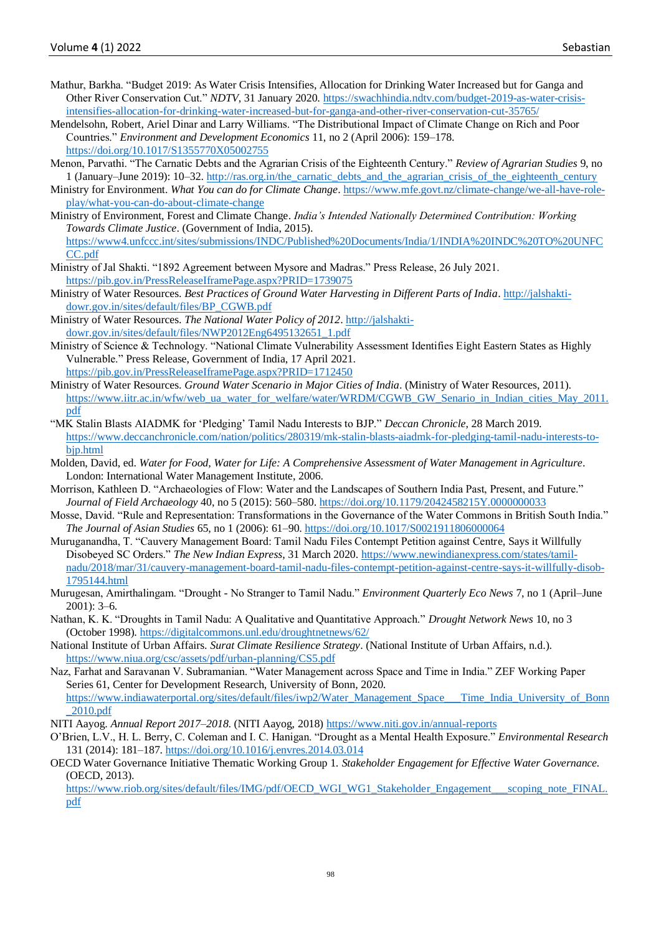- Mathur, Barkha. "Budget 2019: As Water Crisis Intensifies, Allocation for Drinking Water Increased but for Ganga and Other River Conservation Cut." *NDTV*, 31 January 2020. [https://swachhindia.ndtv.com/budget-2019-as-water-crisis](https://swachhindia.ndtv.com/budget-2019-as-water-crisis-intensifies-allocation-for-drinking-water-increased-but-for-ganga-and-other-river-conservation-cut-35765/)[intensifies-allocation-for-drinking-water-increased-but-for-ganga-and-other-river-conservation-cut-35765/](https://swachhindia.ndtv.com/budget-2019-as-water-crisis-intensifies-allocation-for-drinking-water-increased-but-for-ganga-and-other-river-conservation-cut-35765/)
- Mendelsohn, Robert, Ariel Dinar and Larry Williams. "The Distributional Impact of Climate Change on Rich and Poor Countries." *Environment and Development Economics* 11, no 2 (April 2006): 159–178. <https://doi.org/10.1017/S1355770X05002755>
- Menon, Parvathi. "The Carnatic Debts and the Agrarian Crisis of the Eighteenth Century." *Review of Agrarian Studies* 9, no 1 (January–June 2019): 10–32. [http://ras.org.in/the\\_carnatic\\_debts\\_and\\_the\\_agrarian\\_crisis\\_of\\_the\\_eighteenth\\_century](http://ras.org.in/the_carnatic_debts_and_the_agrarian_crisis_of_the_eighteenth_century)
- Ministry for Environment. *What You can do for Climate Change*. [https://www.mfe.govt.nz/climate-change/we-all-have-role](https://www.mfe.govt.nz/climate-change/we-all-have-role-play/what-you-can-do-about-climate-change)[play/what-you-can-do-about-climate-change](https://www.mfe.govt.nz/climate-change/we-all-have-role-play/what-you-can-do-about-climate-change)
- Ministry of Environment, Forest and Climate Change. *India's Intended Nationally Determined Contribution: Working Towards Climate Justice*. (Government of India, 2015). [https://www4.unfccc.int/sites/submissions/INDC/Published%20Documents/India/1/INDIA%20INDC%20TO%20UNFC](https://www4.unfccc.int/sites/submissions/INDC/Published%20Documents/India/1/INDIA%20INDC%20TO%20UNFCCC.pdf) [CC.pdf](https://www4.unfccc.int/sites/submissions/INDC/Published%20Documents/India/1/INDIA%20INDC%20TO%20UNFCCC.pdf)
- Ministry of Jal Shakti. "1892 Agreement between Mysore and Madras." Press Release, 26 July 2021. <https://pib.gov.in/PressReleaseIframePage.aspx?PRID=1739075>
- Ministry of Water Resources. *Best Practices of Ground Water Harvesting in Different Parts of India*[. http://jalshakti](http://jalshakti-dowr.gov.in/sites/default/files/BP_CGWB.pdf)[dowr.gov.in/sites/default/files/BP\\_CGWB.pdf](http://jalshakti-dowr.gov.in/sites/default/files/BP_CGWB.pdf)
- Ministry of Water Resources. *The National Water Policy of 2012*[. http://jalshakti](http://jalshakti-dowr.gov.in/sites/default/files/NWP2012Eng6495132651_1.pdf)[dowr.gov.in/sites/default/files/NWP2012Eng6495132651\\_1.pdf](http://jalshakti-dowr.gov.in/sites/default/files/NWP2012Eng6495132651_1.pdf)
- Ministry of Science & Technology. "National Climate Vulnerability Assessment Identifies Eight Eastern States as Highly Vulnerable." Press Release, Government of India, 17 April 2021. <https://pib.gov.in/PressReleaseIframePage.aspx?PRID=1712450>
- Ministry of Water Resources. *Ground Water Scenario in Major Cities of India*. (Ministry of Water Resources, 2011). [https://www.iitr.ac.in/wfw/web\\_ua\\_water\\_for\\_welfare/water/WRDM/CGWB\\_GW\\_Senario\\_in\\_Indian\\_cities\\_May\\_2011.](https://www.iitr.ac.in/wfw/web_ua_water_for_welfare/water/WRDM/CGWB_GW_Senario_in_Indian_cities_May_2011.pdf) [pdf](https://www.iitr.ac.in/wfw/web_ua_water_for_welfare/water/WRDM/CGWB_GW_Senario_in_Indian_cities_May_2011.pdf)
- "MK Stalin Blasts AIADMK for 'Pledging' Tamil Nadu Interests to BJP." *Deccan Chronicle*, 28 March 2019. [https://www.deccanchronicle.com/nation/politics/280319/mk-stalin-blasts-aiadmk-for-pledging-tamil-nadu-interests-to](https://www.deccanchronicle.com/nation/politics/280319/mk-stalin-blasts-aiadmk-for-pledging-tamil-nadu-interests-to-bjp.html)[bjp.html](https://www.deccanchronicle.com/nation/politics/280319/mk-stalin-blasts-aiadmk-for-pledging-tamil-nadu-interests-to-bjp.html)
- Molden, David, ed. *Water for Food, Water for Life: A Comprehensive Assessment of Water Management in Agriculture*. London: International Water Management Institute, 2006.
- Morrison, Kathleen D. "Archaeologies of Flow: Water and the Landscapes of Southern India Past, Present, and Future." *Journal of Field Archaeology* 40, no 5 (2015): 560–580. <https://doi.org/10.1179/2042458215Y.0000000033>
- Mosse, David. "Rule and Representation: Transformations in the Governance of the Water Commons in British South India." *The Journal of Asian Studies* 65, no 1 (2006): 61–90. <https://doi.org/10.1017/S0021911806000064>
- Muruganandha, T. "Cauvery Management Board: Tamil Nadu Files Contempt Petition against Centre, Says it Willfully Disobeyed SC Orders." *The New Indian Express*, 31 March 2020. [https://www.newindianexpress.com/states/tamil](https://www.newindianexpress.com/states/tamil-nadu/2018/mar/31/cauvery-management-board-tamil-nadu-files-contempt-petition-against-centre-says-it-willfully-disob-1795144.html)[nadu/2018/mar/31/cauvery-management-board-tamil-nadu-files-contempt-petition-against-centre-says-it-willfully-disob-](https://www.newindianexpress.com/states/tamil-nadu/2018/mar/31/cauvery-management-board-tamil-nadu-files-contempt-petition-against-centre-says-it-willfully-disob-1795144.html)[1795144.html](https://www.newindianexpress.com/states/tamil-nadu/2018/mar/31/cauvery-management-board-tamil-nadu-files-contempt-petition-against-centre-says-it-willfully-disob-1795144.html)
- Murugesan, Amirthalingam. "Drought No Stranger to Tamil Nadu." *Environment Quarterly Eco News* 7, no 1 (April–June 2001): 3–6.
- Nathan, K. K. "Droughts in Tamil Nadu: A Qualitative and Quantitative Approach." *Drought Network News* 10, no 3 (October 1998).<https://digitalcommons.unl.edu/droughtnetnews/62/>
- National Institute of Urban Affairs. *Surat Climate Resilience Strategy*. (National Institute of Urban Affairs, n.d.). <https://www.niua.org/csc/assets/pdf/urban-planning/CS5.pdf>
- Naz, Farhat and Saravanan V. Subramanian. "Water Management across Space and Time in India." ZEF Working Paper Series 61, Center for Development Research, University of Bonn, 2020. [https://www.indiawaterportal.org/sites/default/files/iwp2/Water\\_Management\\_Space\\_\\_\\_Time\\_India\\_University\\_of\\_Bonn](https://www.indiawaterportal.org/sites/default/files/iwp2/Water_Management_Space___Time_India_University_of_Bonn_2010.pdf) [\\_2010.pdf](https://www.indiawaterportal.org/sites/default/files/iwp2/Water_Management_Space___Time_India_University_of_Bonn_2010.pdf)
- NITI Aayog. *Annual Report 2017–2018*. (NITI Aayog, 2018)<https://www.niti.gov.in/annual-reports>
- O'Brien, L.V., H. L. Berry, C. Coleman and I. C. Hanigan. "Drought as a Mental Health Exposure." *Environmental Research*  131 (2014): 181–187. <https://doi.org/10.1016/j.envres.2014.03.014>
- OECD Water Governance Initiative Thematic Working Group 1. *Stakeholder Engagement for Effective Water Governance.* (OECD, 2013).

[https://www.riob.org/sites/default/files/IMG/pdf/OECD\\_WGI\\_WG1\\_Stakeholder\\_Engagement\\_\\_\\_scoping\\_note\\_FINAL.](https://www.riob.org/sites/default/files/IMG/pdf/OECD_WGI_WG1_Stakeholder_Engagement___scoping_note_FINAL.pdf) [pdf](https://www.riob.org/sites/default/files/IMG/pdf/OECD_WGI_WG1_Stakeholder_Engagement___scoping_note_FINAL.pdf)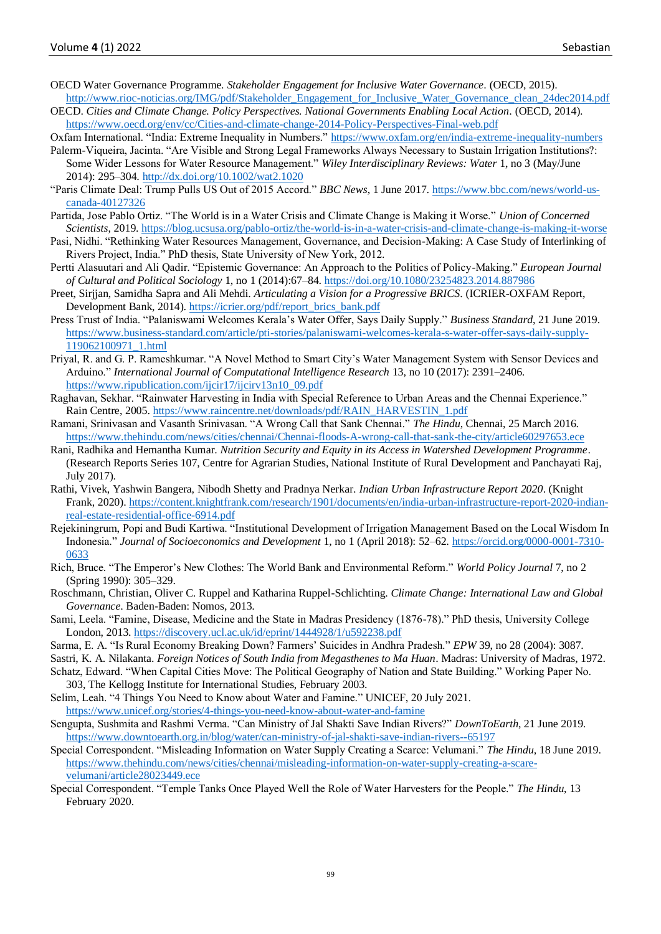- OECD Water Governance Programme. *Stakeholder Engagement for Inclusive Water Governance*. (OECD, 2015). [http://www.rioc-noticias.org/IMG/pdf/Stakeholder\\_Engagement\\_for\\_Inclusive\\_Water\\_Governance\\_clean\\_24dec2014.pdf](http://www.rioc-noticias.org/IMG/pdf/Stakeholder_Engagement_for_Inclusive_Water_Governance_clean_24dec2014.pdf)
- OECD. *Cities and Climate Change. Policy Perspectives. National Governments Enabling Local Action*. (OECD, 2014). <https://www.oecd.org/env/cc/Cities-and-climate-change-2014-Policy-Perspectives-Final-web.pdf>

Oxfam International. "India: Extreme Inequality in Numbers."<https://www.oxfam.org/en/india-extreme-inequality-numbers>

- Palerm-Viqueira, Jacinta. "Are Visible and Strong Legal Frameworks Always Necessary to Sustain Irrigation Institutions?: Some Wider Lessons for Water Resource Management." *Wiley Interdisciplinary Reviews: Water* 1, no 3 (May/June 2014): 295–304.<http://dx.doi.org/10.1002/wat2.1020>
- "Paris Climate Deal: Trump Pulls US Out of 2015 Accord." *BBC News*, 1 June 2017. [https://www.bbc.com/news/world-us](https://www.bbc.com/news/world-us-canada-40127326)[canada-40127326](https://www.bbc.com/news/world-us-canada-40127326)
- Partida, Jose Pablo Ortiz. "The World is in a Water Crisis and Climate Change is Making it Worse." *Union of Concerned Scientists*, 2019. [https://blog.ucsusa.org/pablo-ortiz/the-world-is-in-a-water-crisis-and-climate-change-is-making-it-worse](https://blog.ucsusa.org/pablo-ortiz/the-world-is-in-a-water-crisis-and-climate-change-is-making-it-worse.)
- Pasi, Nidhi. "Rethinking Water Resources Management, Governance, and Decision-Making: A Case Study of Interlinking of Rivers Project, India." PhD thesis, State University of New York, 2012.
- Pertti Alasuutari and Ali Qadir. "Epistemic Governance: An Approach to the Politics of Policy-Making." *European Journal of Cultural and Political Sociology* 1, no 1 (2014):67–84.<https://doi.org/10.1080/23254823.2014.887986>
- Preet, Sirjjan, Samidha Sapra and Ali Mehdi. *Articulating a Vision for a Progressive BRICS*. (ICRIER-OXFAM Report, Development Bank, 2014). [https://icrier.org/pdf/report\\_brics\\_bank.pdf](https://icrier.org/pdf/report_brics_bank.pdf)
- Press Trust of India. "Palaniswami Welcomes Kerala's Water Offer, Says Daily Supply." *Business Standard*, 21 June 2019. [https://www.business-standard.com/article/pti-stories/palaniswami-welcomes-kerala-s-water-offer-says-daily-supply-](https://www.business-standard.com/article/pti-stories/palaniswami-welcomes-kerala-s-water-offer-says-daily-supply-119062100971_1.html)[119062100971\\_1.html](https://www.business-standard.com/article/pti-stories/palaniswami-welcomes-kerala-s-water-offer-says-daily-supply-119062100971_1.html)
- Priyal, R. and G. P. Rameshkumar. "A Novel Method to Smart City's Water Management System with Sensor Devices and Arduino." *International Journal of Computational Intelligence Research* 13, no 10 (2017): 2391–2406. [https://www.ripublication.com/ijcir17/ijcirv13n10\\_09.pdf](https://www.ripublication.com/ijcir17/ijcirv13n10_09.pdf)
- Raghavan, Sekhar. "Rainwater Harvesting in India with Special Reference to Urban Areas and the Chennai Experience." Rain Centre, 2005[. https://www.raincentre.net/downloads/pdf/RAIN\\_HARVESTIN\\_1.pdf](https://www.raincentre.net/downloads/pdf/RAIN_HARVESTIN_1.pdf)
- Ramani, Srinivasan and Vasanth Srinivasan. "A Wrong Call that Sank Chennai." *The Hindu*, Chennai, 25 March 2016. <https://www.thehindu.com/news/cities/chennai/Chennai-floods-A-wrong-call-that-sank-the-city/article60297653.ece>
- Rani, Radhika and Hemantha Kumar. *Nutrition Security and Equity in its Access in Watershed Development Programme*. (Research Reports Series 107, Centre for Agrarian Studies, National Institute of Rural Development and Panchayati Raj, July 2017).
- Rathi, Vivek, Yashwin Bangera, Nibodh Shetty and Pradnya Nerkar. *Indian Urban Infrastructure Report 2020*. (Knight Frank, 2020). [https://content.knightfrank.com/research/1901/documents/en/india-urban-infrastructure-report-2020-indian](https://content.knightfrank.com/research/1901/documents/en/india-urban-infrastructure-report-2020-indian-real-estate-residential-office-6914.pdf)[real-estate-residential-office-6914.pdf](https://content.knightfrank.com/research/1901/documents/en/india-urban-infrastructure-report-2020-indian-real-estate-residential-office-6914.pdf)
- Rejekiningrum, Popi and Budi Kartiwa. "Institutional Development of Irrigation Management Based on the Local Wisdom In Indonesia." *Journal of Socioeconomics and Development* 1, no 1 (April 2018): 52–62. [https://orcid.org/0000-0001-7310-](https://orcid.org/0000-0001-7310-0633) [0633](https://orcid.org/0000-0001-7310-0633)
- Rich, Bruce. "The Emperor's New Clothes: The World Bank and Environmental Reform." *World Policy Journal* 7, no 2 (Spring 1990): 305–329.
- Roschmann, Christian, Oliver C. Ruppel and Katharina Ruppel-Schlichting. *Climate Change: International Law and Global Governance*. Baden-Baden: Nomos, 2013.
- Sami, Leela. "Famine, Disease, Medicine and the State in Madras Presidency (1876-78)." PhD thesis, University College London, 2013[. https://discovery.ucl.ac.uk/id/eprint/1444928/1/u592238.pdf](https://discovery.ucl.ac.uk/id/eprint/1444928/1/u592238.pdf)
- Sarma, E. A. "Is Rural Economy Breaking Down? Farmers' Suicides in Andhra Pradesh." *EPW* 39, no 28 (2004): 3087.
- Sastri, K. A. Nilakanta. *Foreign Notices of South India from Megasthenes to Ma Huan*. Madras: University of Madras, 1972.
- Schatz, Edward. "When Capital Cities Move: The Political Geography of Nation and State Building." Working Paper No. 303, The Kellogg Institute for International Studies, February 2003.
- Selim, Leah. "4 Things You Need to Know about Water and Famine." UNICEF, 20 July 2021. <https://www.unicef.org/stories/4-things-you-need-know-about-water-and-famine>
- Sengupta, Sushmita and Rashmi Verma. "Can Ministry of Jal Shakti Save Indian Rivers?" *DownToEarth*, 21 June 2019. <https://www.downtoearth.org.in/blog/water/can-ministry-of-jal-shakti-save-indian-rivers--65197>
- Special Correspondent. "Misleading Information on Water Supply Creating a Scarce: Velumani." *The Hindu*, 18 June 2019. [https://www.thehindu.com/news/cities/chennai/misleading-information-on-water-supply-creating-a-scare](https://www.thehindu.com/news/cities/chennai/misleading-information-on-water-supply-creating-a-scare-velumani/article28023449.ece)[velumani/article28023449.ece](https://www.thehindu.com/news/cities/chennai/misleading-information-on-water-supply-creating-a-scare-velumani/article28023449.ece)
- Special Correspondent. "Temple Tanks Once Played Well the Role of Water Harvesters for the People." *The Hindu*, 13 February 2020.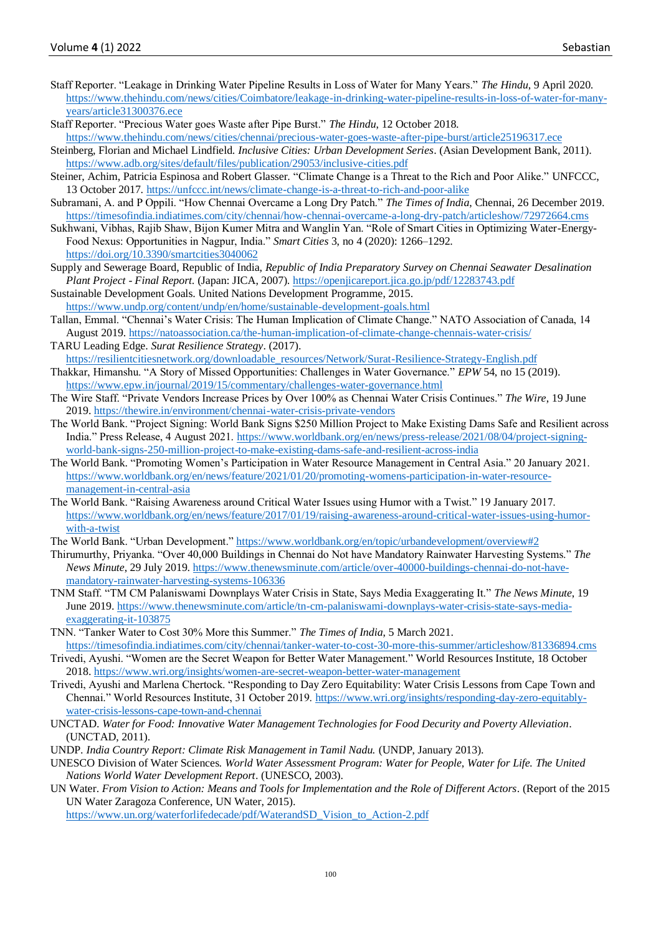- Staff Reporter. "Leakage in Drinking Water Pipeline Results in Loss of Water for Many Years." *The Hindu*, 9 April 2020. [https://www.thehindu.com/news/cities/Coimbatore/leakage-in-drinking-water-pipeline-results-in-loss-of-water-for-many](https://www.thehindu.com/news/cities/Coimbatore/leakage-in-drinking-water-pipeline-results-in-loss-of-water-for-many-years/article31300376.ece)[years/article31300376.ece](https://www.thehindu.com/news/cities/Coimbatore/leakage-in-drinking-water-pipeline-results-in-loss-of-water-for-many-years/article31300376.ece)
- Staff Reporter. "Precious Water goes Waste after Pipe Burst." *The Hindu*, 12 October 2018.
- <https://www.thehindu.com/news/cities/chennai/precious-water-goes-waste-after-pipe-burst/article25196317.ece> Steinberg, Florian and Michael Lindfield. *Inclusive Cities: Urban Development Series*. (Asian Development Bank, 2011). <https://www.adb.org/sites/default/files/publication/29053/inclusive-cities.pdf>
- Steiner, Achim, Patricia Espinosa and Robert Glasser. "Climate Change is a Threat to the Rich and Poor Alike." UNFCCC, 13 October 2017.<https://unfccc.int/news/climate-change-is-a-threat-to-rich-and-poor-alike>
- Subramani, A. and P Oppili. "How Chennai Overcame a Long Dry Patch." *The Times of India*, Chennai, 26 December 2019. <https://timesofindia.indiatimes.com/city/chennai/how-chennai-overcame-a-long-dry-patch/articleshow/72972664.cms>
- Sukhwani, Vibhas, Rajib Shaw, Bijon Kumer Mitra and Wanglin Yan. "Role of Smart Cities in Optimizing Water-Energy-Food Nexus: Opportunities in Nagpur, India." *Smart Cities* 3, no 4 (2020): 1266–1292. <https://doi.org/10.3390/smartcities3040062>
- Supply and Sewerage Board, Republic of India, *Republic of India Preparatory Survey on Chennai Seawater Desalination Plant Project - Final Report*. (Japan: JICA, 2007)[. https://openjicareport.jica.go.jp/pdf/12283743.pdf](https://openjicareport.jica.go.jp/pdf/12283743.pdf)
- Sustainable Development Goals. United Nations Development Programme, 2015. <https://www.undp.org/content/undp/en/home/sustainable-development-goals.html>
- Tallan, Emmal. "Chennai's Water Crisis: The Human Implication of Climate Change." NATO Association of Canada, 14 August 2019.<https://natoassociation.ca/the-human-implication-of-climate-change-chennais-water-crisis/>
- TARU Leading Edge. *Surat Resilience Strategy*. (2017). [https://resilientcitiesnetwork.org/downloadable\\_resources/Network/Surat-Resilience-Strategy-English.pdf](https://resilientcitiesnetwork.org/downloadable_resources/Network/Surat-Resilience-Strategy-English.pdf)
- Thakkar, Himanshu. "A Story of Missed Opportunities: Challenges in Water Governance." *EPW* 54, no 15 (2019). <https://www.epw.in/journal/2019/15/commentary/challenges-water-governance.html>
- The Wire Staff. "Private Vendors Increase Prices by Over 100% as Chennai Water Crisis Continues." *The Wire*, 19 June 2019[. https://thewire.in/environment/chennai-water-crisis-private-vendors](https://thewire.in/environment/chennai-water-crisis-private-vendors)
- The World Bank. "Project Signing: World Bank Signs \$250 Million Project to Make Existing Dams Safe and Resilient across India." Press Release, 4 August 2021. [https://www.worldbank.org/en/news/press-release/2021/08/04/project-signing](https://www.worldbank.org/en/news/press-release/2021/08/04/project-signing-world-bank-signs-250-million-project-to-make-existing-dams-safe-and-resilient-across-india)[world-bank-signs-250-million-project-to-make-existing-dams-safe-and-resilient-across-india](https://www.worldbank.org/en/news/press-release/2021/08/04/project-signing-world-bank-signs-250-million-project-to-make-existing-dams-safe-and-resilient-across-india)
- The World Bank. "Promoting Women's Participation in Water Resource Management in Central Asia." 20 January 2021. [https://www.worldbank.org/en/news/feature/2021/01/20/promoting-womens-participation-in-water-resource](https://www.worldbank.org/en/news/feature/2021/01/20/promoting-womens-participation-in-water-resource-management-in-central-asia)[management-in-central-asia](https://www.worldbank.org/en/news/feature/2021/01/20/promoting-womens-participation-in-water-resource-management-in-central-asia)
- The World Bank. "Raising Awareness around Critical Water Issues using Humor with a Twist." 19 January 2017. [https://www.worldbank.org/en/news/feature/2017/01/19/raising-awareness-around-critical-water-issues-using-humor](https://www.worldbank.org/en/news/feature/2017/01/19/raising-awareness-around-critical-water-issues-using-humor-with-a-twist)[with-a-twist](https://www.worldbank.org/en/news/feature/2017/01/19/raising-awareness-around-critical-water-issues-using-humor-with-a-twist)
- The World Bank. "Urban Development."<https://www.worldbank.org/en/topic/urbandevelopment/overview#2>
- Thirumurthy, Priyanka. "Over 40,000 Buildings in Chennai do Not have Mandatory Rainwater Harvesting Systems." *The News Minute*, 29 July 2019[. https://www.thenewsminute.com/article/over-40000-buildings-chennai-do-not-have](https://www.thenewsminute.com/article/over-40000-buildings-chennai-do-not-have-mandatory-rainwater-harvesting-systems-106336#:~:text=An%20ongoing%20survey%20being%20conducted,RWH)%20structures%20on%20their%20premises.&text=Of%20these%2C%2077%2C975%20buildings%20have,need%20of%20repair%20or%20maintenance)[mandatory-rainwater-harvesting-systems-106336](https://www.thenewsminute.com/article/over-40000-buildings-chennai-do-not-have-mandatory-rainwater-harvesting-systems-106336#:~:text=An%20ongoing%20survey%20being%20conducted,RWH)%20structures%20on%20their%20premises.&text=Of%20these%2C%2077%2C975%20buildings%20have,need%20of%20repair%20or%20maintenance)
- TNM Staff. "TM CM Palaniswami Downplays Water Crisis in State, Says Media Exaggerating It." *The News Minute*, 19 June 2019[. https://www.thenewsminute.com/article/tn-cm-palaniswami-downplays-water-crisis-state-says-media](https://www.thenewsminute.com/article/tn-cm-palaniswami-downplays-water-crisis-state-says-media-exaggerating-it-103875)[exaggerating-it-103875](https://www.thenewsminute.com/article/tn-cm-palaniswami-downplays-water-crisis-state-says-media-exaggerating-it-103875)
- TNN. "Tanker Water to Cost 30% More this Summer." *The Times of India*, 5 March 2021.
- <https://timesofindia.indiatimes.com/city/chennai/tanker-water-to-cost-30-more-this-summer/articleshow/81336894.cms> Trivedi, Ayushi. "Women are the Secret Weapon for Better Water Management." World Resources Institute, 18 October
- 2018[. https://www.wri.org/insights/women-are-secret-weapon-better-water-management](https://www.wri.org/insights/women-are-secret-weapon-better-water-management) Trivedi, Ayushi and Marlena Chertock. "Responding to Day Zero Equitability: Water Crisis Lessons from Cape Town and Chennai." World Resources Institute, 31 October 2019. [https://www.wri.org/insights/responding-day-zero-equitably-](https://www.wri.org/insights/responding-day-zero-equitably-water-crisis-lessons-cape-town-and-chennai)
- [water-crisis-lessons-cape-town-and-chennai](https://www.wri.org/insights/responding-day-zero-equitably-water-crisis-lessons-cape-town-and-chennai) UNCTAD. *Water for Food: Innovative Water Management Technologies for Food Decurity and Poverty Alleviation*. (UNCTAD, 2011).
- UNDP. *India Country Report: Climate Risk Management in Tamil Nadu.* (UNDP, January 2013).
- UNESCO Division of Water Sciences. *World Water Assessment Program: Water for People, Water for Life. The United Nations World Water Development Report*. (UNESCO, 2003).
- UN Water. *From Vision to Action: Means and Tools for Implementation and the Role of Different Actors*. (Report of the 2015 UN Water Zaragoza Conference, UN Water, 2015).
	- [https://www.un.org/waterforlifedecade/pdf/WaterandSD\\_Vision\\_to\\_Action-2.pdf](https://www.un.org/waterforlifedecade/pdf/WaterandSD_Vision_to_Action-2.pdf)